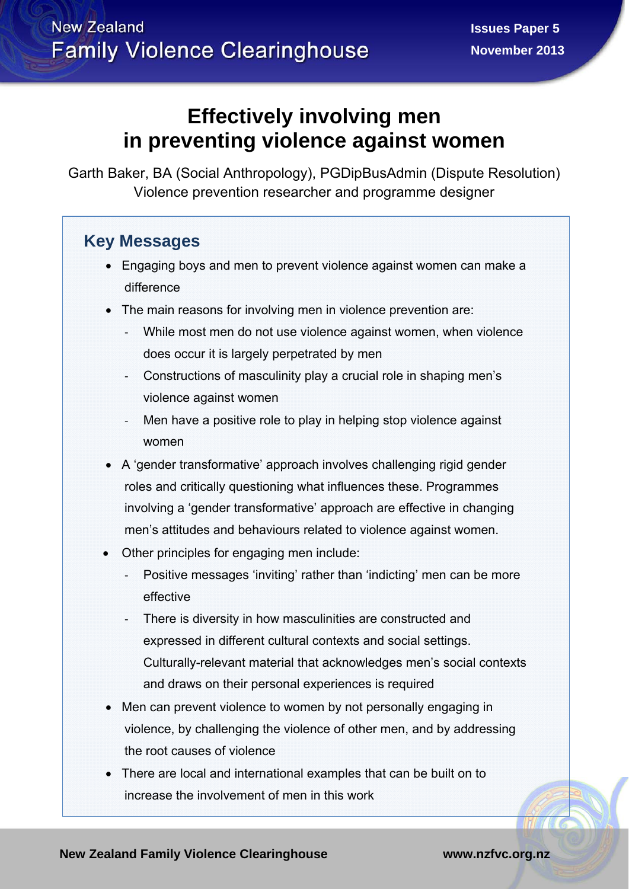# **Effectively involving men in preventing violence against women**

Garth Baker, BA (Social Anthropology), PGDipBusAdmin (Dispute Resolution) Violence prevention researcher and programme designer

## **Key Messages**

- Engaging boys and men to prevent violence against women can make a difference
- The main reasons for involving men in violence prevention are:
	- ‐ While most men do not use violence against women, when violence does occur it is largely perpetrated by men
	- ‐ Constructions of masculinity play a crucial role in shaping men's violence against women
	- Men have a positive role to play in helping stop violence against women
- A 'gender transformative' approach involves challenging rigid gender roles and critically questioning what influences these. Programmes involving a 'gender transformative' approach are effective in changing men's attitudes and behaviours related to violence against women.
- Other principles for engaging men include:
	- ‐ Positive messages 'inviting' rather than 'indicting' men can be more effective
	- There is diversity in how masculinities are constructed and expressed in different cultural contexts and social settings. Culturally-relevant material that acknowledges men's social contexts and draws on their personal experiences is required
- Men can prevent violence to women by not personally engaging in violence, by challenging the violence of other men, and by addressing the root causes of violence
- There are local and international examples that can be built on to increase the involvement of men in this work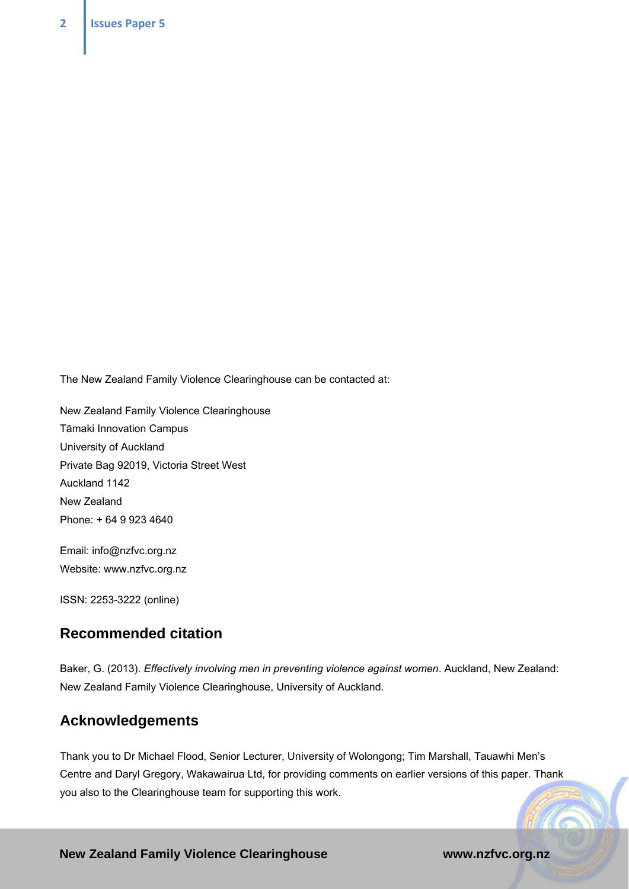The New Zealand Family Violence Clearinghouse can be contacted at:

New Zealand Family Violence Clearinghouse Tāmaki Innovation Campus University of Auckland Private Bag 92019, Victoria Street West Auckland 1142 New Zealand Phone: + 64 9 923 4640

Email: info@nzfvc.org.nz Website: www.nzfvc.org.nz

ISSN: 2253-3222 (online)

### **Recommended citation**

Baker, G. (2013). *Effectively involving men in preventing violence against women*. Auckland, New Zealand: New Zealand Family Violence Clearinghouse, University of Auckland.

### **Acknowledgements**

Thank you to Dr Michael Flood, Senior Lecturer, University of Wolongong; Tim Marshall, Tauawhi Men's Centre and Daryl Gregory, Wakawairua Ltd, for providing comments on earlier versions of this paper. Thank you also to the Clearinghouse team for supporting this work.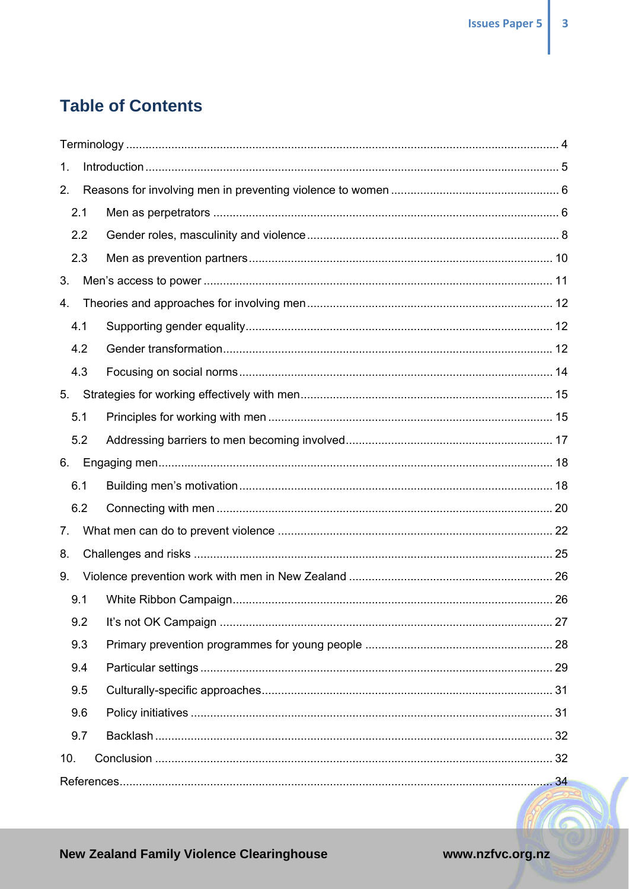# **Table of Contents**

| 1.  |     |  |  |  |  |
|-----|-----|--|--|--|--|
| 2.  |     |  |  |  |  |
|     | 2.1 |  |  |  |  |
|     | 2.2 |  |  |  |  |
|     | 2.3 |  |  |  |  |
| 3.  |     |  |  |  |  |
| 4.  |     |  |  |  |  |
|     | 4.1 |  |  |  |  |
|     | 4.2 |  |  |  |  |
|     | 4.3 |  |  |  |  |
| 5.  |     |  |  |  |  |
|     | 5.1 |  |  |  |  |
|     | 5.2 |  |  |  |  |
| 6.  |     |  |  |  |  |
|     | 6.1 |  |  |  |  |
|     | 6.2 |  |  |  |  |
| 7.  |     |  |  |  |  |
| 8.  |     |  |  |  |  |
| 9.  |     |  |  |  |  |
|     | 9.1 |  |  |  |  |
|     | 9.2 |  |  |  |  |
|     | 9.3 |  |  |  |  |
|     | 9.4 |  |  |  |  |
|     | 9.5 |  |  |  |  |
|     | 9.6 |  |  |  |  |
|     | 9.7 |  |  |  |  |
| 10. |     |  |  |  |  |
|     |     |  |  |  |  |
|     |     |  |  |  |  |

**New Zealand Family Violence Clearinghouse** 

www.nzfvc.org.nz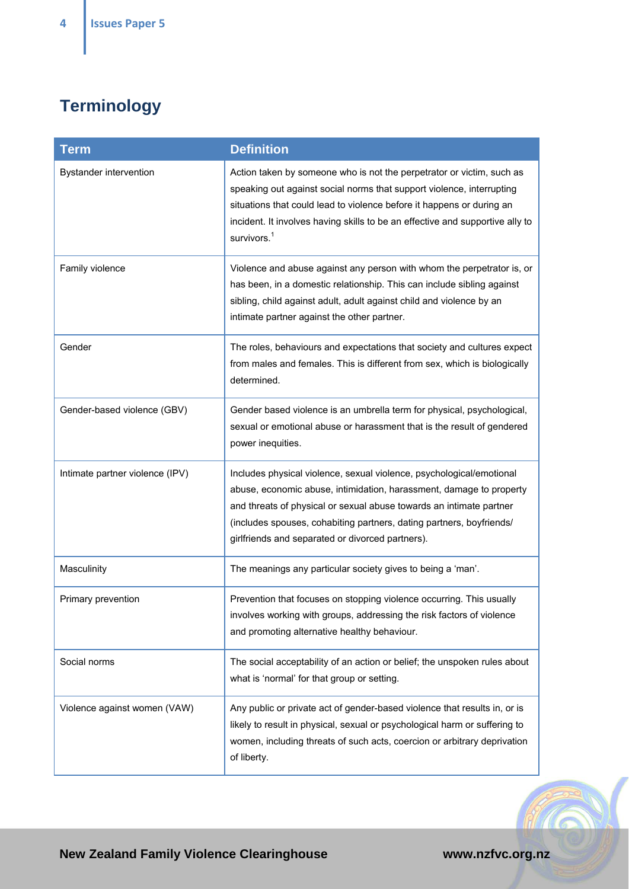# **Terminology**

| <b>Term</b>                     | <b>Definition</b>                                                                                                                                                                                                                                                                                                                              |
|---------------------------------|------------------------------------------------------------------------------------------------------------------------------------------------------------------------------------------------------------------------------------------------------------------------------------------------------------------------------------------------|
| <b>Bystander intervention</b>   | Action taken by someone who is not the perpetrator or victim, such as<br>speaking out against social norms that support violence, interrupting<br>situations that could lead to violence before it happens or during an<br>incident. It involves having skills to be an effective and supportive ally to<br>survivors. <sup>1</sup>            |
| Family violence                 | Violence and abuse against any person with whom the perpetrator is, or<br>has been, in a domestic relationship. This can include sibling against<br>sibling, child against adult, adult against child and violence by an<br>intimate partner against the other partner.                                                                        |
| Gender                          | The roles, behaviours and expectations that society and cultures expect<br>from males and females. This is different from sex, which is biologically<br>determined.                                                                                                                                                                            |
| Gender-based violence (GBV)     | Gender based violence is an umbrella term for physical, psychological,<br>sexual or emotional abuse or harassment that is the result of gendered<br>power inequities.                                                                                                                                                                          |
| Intimate partner violence (IPV) | Includes physical violence, sexual violence, psychological/emotional<br>abuse, economic abuse, intimidation, harassment, damage to property<br>and threats of physical or sexual abuse towards an intimate partner<br>(includes spouses, cohabiting partners, dating partners, boyfriends/<br>girlfriends and separated or divorced partners). |
| Masculinity                     | The meanings any particular society gives to being a 'man'.                                                                                                                                                                                                                                                                                    |
| Primary prevention              | Prevention that focuses on stopping violence occurring. This usually<br>involves working with groups, addressing the risk factors of violence<br>and promoting alternative healthy behaviour.                                                                                                                                                  |
| Social norms                    | The social acceptability of an action or belief; the unspoken rules about<br>what is 'normal' for that group or setting.                                                                                                                                                                                                                       |
| Violence against women (VAW)    | Any public or private act of gender-based violence that results in, or is<br>likely to result in physical, sexual or psychological harm or suffering to<br>women, including threats of such acts, coercion or arbitrary deprivation<br>of liberty.                                                                                             |



FAL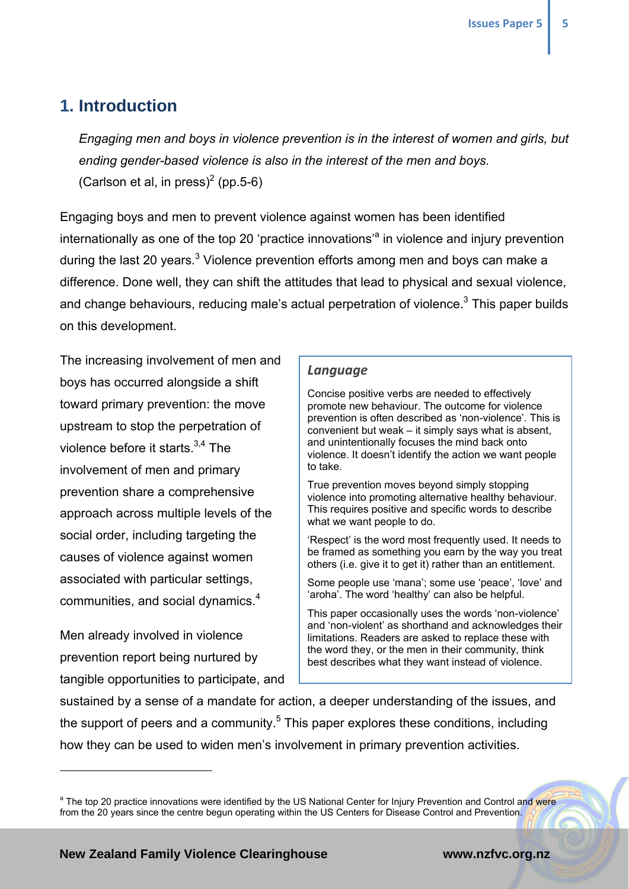## **1. Introduction**

*Engaging men and boys in violence prevention is in the interest of women and girls, but ending gender-based violence is also in the interest of the men and boys.*  (Carlson et al, in press)<sup>2</sup> (pp.5-6)

Engaging boys and men to prevent violence against women has been identified internationally as one of the top 20 'practice innovations'<sup>a</sup> in violence and injury prevention during the last 20 years.<sup>3</sup> Violence prevention efforts among men and boys can make a difference. Done well, they can shift the attitudes that lead to physical and sexual violence, and change behaviours, reducing male's actual perpetration of violence.<sup>3</sup> This paper builds on this development.

The increasing involvement of men and boys has occurred alongside a shift toward primary prevention: the move upstream to stop the perpetration of violence before it starts  $3,4$  The involvement of men and primary prevention share a comprehensive approach across multiple levels of the social order, including targeting the causes of violence against women associated with particular settings, communities, and social dynamics. $4$ 

Men already involved in violence prevention report being nurtured by tangible opportunities to participate, and

 $\overline{a}$ 

#### *Language*

Concise positive verbs are needed to effectively promote new behaviour. The outcome for violence prevention is often described as 'non-violence'. This is convenient but weak – it simply says what is absent, and unintentionally focuses the mind back onto violence. It doesn't identify the action we want people to take.

True prevention moves beyond simply stopping violence into promoting alternative healthy behaviour. This requires positive and specific words to describe what we want people to do.

'Respect' is the word most frequently used. It needs to be framed as something you earn by the way you treat others (i.e. give it to get it) rather than an entitlement.

Some people use 'mana'; some use 'peace', 'love' and 'aroha'. The word 'healthy' can also be helpful.

This paper occasionally uses the words 'non-violence' and 'non-violent' as shorthand and acknowledges their limitations. Readers are asked to replace these with the word they, or the men in their community, think best describes what they want instead of violence.

sustained by a sense of a mandate for action, a deeper understanding of the issues, and the support of peers and a community.<sup>5</sup> This paper explores these conditions, including how they can be used to widen men's involvement in primary prevention activities.

<sup>&</sup>lt;sup>a</sup> The top 20 practice innovations were identified by the US National Center for Injury Prevention and Control and were from the 20 years since the centre begun operating within the US Centers for Disease Control and Prevention.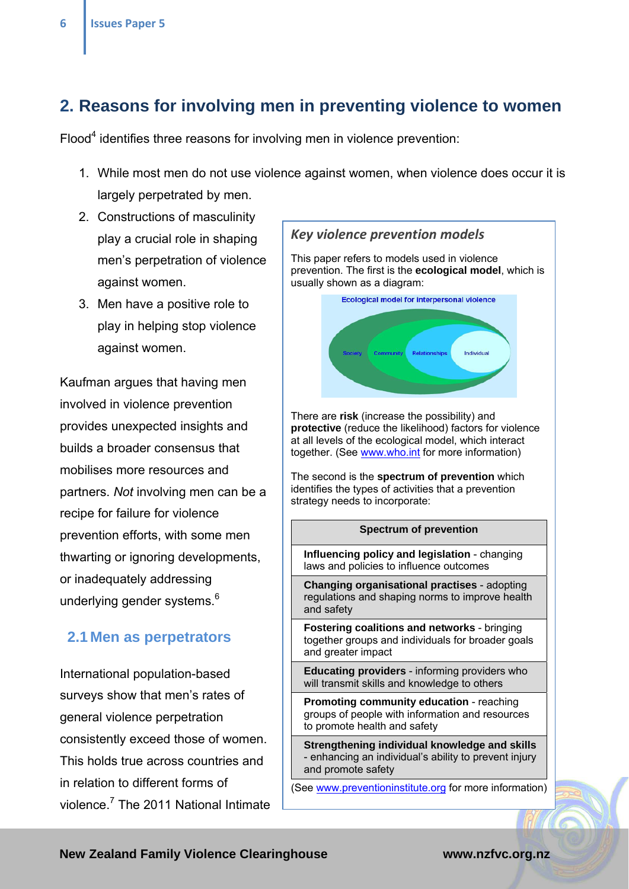## **2. Reasons for involving men in preventing violence to women**

Flood<sup>4</sup> identifies three reasons for involving men in violence prevention:

- 1. While most men do not use violence against women, when violence does occur it is largely perpetrated by men.
- 2. Constructions of masculinity play a crucial role in shaping men's perpetration of violence against women.
- 3. Men have a positive role to play in helping stop violence against women.

Kaufman argues that having men involved in violence prevention provides unexpected insights and builds a broader consensus that mobilises more resources and partners. *Not* involving men can be a recipe for failure for violence prevention efforts, with some men thwarting or ignoring developments, or inadequately addressing underlying gender systems.<sup>6</sup>

#### **2.1 Men as perpetrators**

International population-based surveys show that men's rates of general violence perpetration consistently exceed those of women. This holds true across countries and in relation to different forms of violence.<sup>7</sup> The 2011 National Intimate

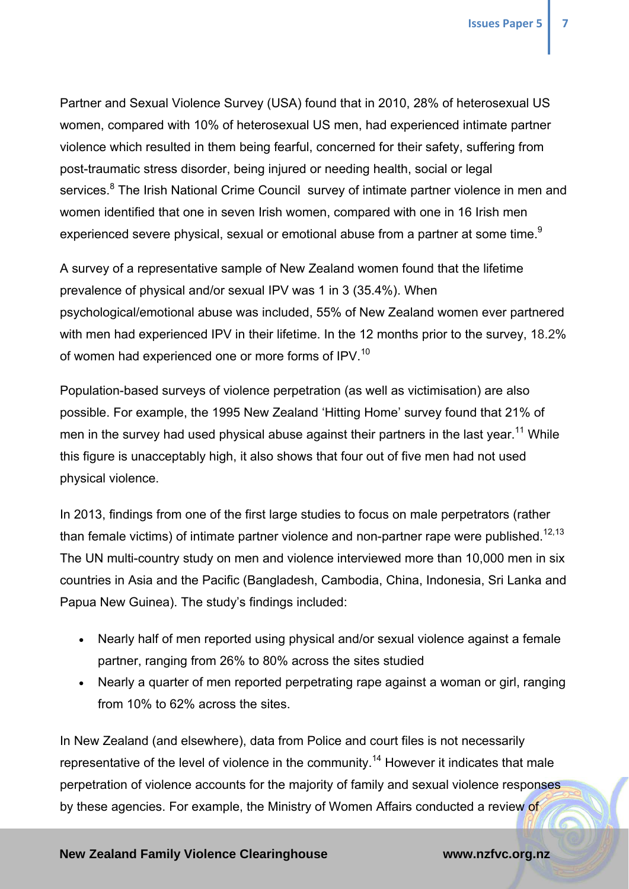Partner and Sexual Violence Survey (USA) found that in 2010, 28% of heterosexual US women, compared with 10% of heterosexual US men, had experienced intimate partner violence which resulted in them being fearful, concerned for their safety, suffering from post-traumatic stress disorder, being injured or needing health, social or legal services.<sup>8</sup> The Irish National Crime Council survey of intimate partner violence in men and women identified that one in seven Irish women, compared with one in 16 Irish men experienced severe physical, sexual or emotional abuse from a partner at some time.<sup>9</sup>

A survey of a representative sample of New Zealand women found that the lifetime prevalence of physical and/or sexual IPV was 1 in 3 (35.4%). When psychological/emotional abuse was included, 55% of New Zealand women ever partnered with men had experienced IPV in their lifetime. In the 12 months prior to the survey, 18.2% of women had experienced one or more forms of IPV.<sup>10</sup>

Population-based surveys of violence perpetration (as well as victimisation) are also possible. For example, the 1995 New Zealand 'Hitting Home' survey found that 21% of men in the survey had used physical abuse against their partners in the last year.<sup>11</sup> While this figure is unacceptably high, it also shows that four out of five men had not used physical violence.

In 2013, findings from one of the first large studies to focus on male perpetrators (rather than female victims) of intimate partner violence and non-partner rape were published.<sup>12,13</sup> The UN multi-country study on men and violence interviewed more than 10,000 men in six countries in Asia and the Pacific (Bangladesh, Cambodia, China, Indonesia, Sri Lanka and Papua New Guinea). The study's findings included:

- Nearly half of men reported using physical and/or sexual violence against a female partner, ranging from 26% to 80% across the sites studied
- Nearly a quarter of men reported perpetrating rape against a woman or girl, ranging from 10% to 62% across the sites.

In New Zealand (and elsewhere), data from Police and court files is not necessarily representative of the level of violence in the community.<sup>14</sup> However it indicates that male perpetration of violence accounts for the majority of family and sexual violence responses by these agencies. For example, the Ministry of Women Affairs conducted a review of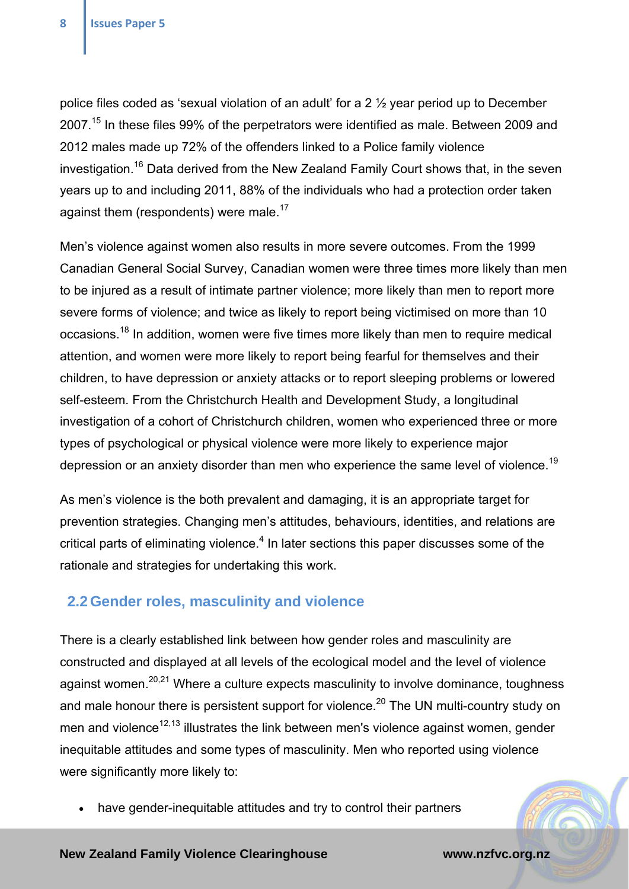police files coded as 'sexual violation of an adult' for a 2 ½ year period up to December 2007.<sup>15</sup> In these files 99% of the perpetrators were identified as male. Between 2009 and 2012 males made up 72% of the offenders linked to a Police family violence investigation.16 Data derived from the New Zealand Family Court shows that, in the seven years up to and including 2011, 88% of the individuals who had a protection order taken against them (respondents) were male.<sup>17</sup>

Men's violence against women also results in more severe outcomes. From the 1999 Canadian General Social Survey, Canadian women were three times more likely than men to be injured as a result of intimate partner violence; more likely than men to report more severe forms of violence; and twice as likely to report being victimised on more than 10 occasions.<sup>18</sup> In addition, women were five times more likely than men to require medical attention, and women were more likely to report being fearful for themselves and their children, to have depression or anxiety attacks or to report sleeping problems or lowered self-esteem. From the Christchurch Health and Development Study, a longitudinal investigation of a cohort of Christchurch children, women who experienced three or more types of psychological or physical violence were more likely to experience major depression or an anxiety disorder than men who experience the same level of violence.<sup>19</sup>

As men's violence is the both prevalent and damaging, it is an appropriate target for prevention strategies. Changing men's attitudes, behaviours, identities, and relations are critical parts of eliminating violence. $<sup>4</sup>$  In later sections this paper discusses some of the</sup> rationale and strategies for undertaking this work.

### **2.2 Gender roles, masculinity and violence**

There is a clearly established link between how gender roles and masculinity are constructed and displayed at all levels of the ecological model and the level of violence against women.<sup>20,21</sup> Where a culture expects masculinity to involve dominance, toughness and male honour there is persistent support for violence.<sup>20</sup> The UN multi-country study on men and violence<sup>12,13</sup> illustrates the link between men's violence against women, gender inequitable attitudes and some types of masculinity. Men who reported using violence were significantly more likely to:

have gender-inequitable attitudes and try to control their partners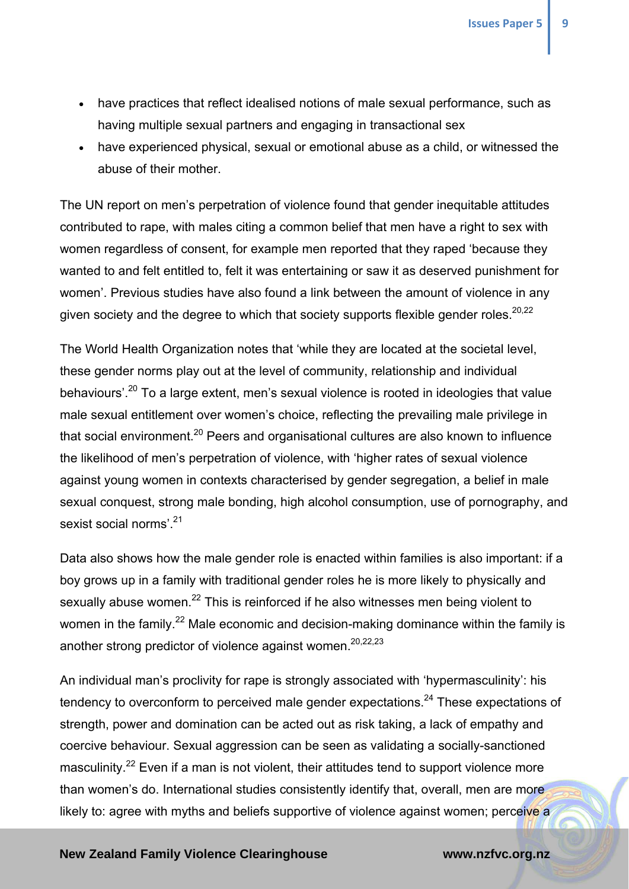- have practices that reflect idealised notions of male sexual performance, such as having multiple sexual partners and engaging in transactional sex
- have experienced physical, sexual or emotional abuse as a child, or witnessed the abuse of their mother.

The UN report on men's perpetration of violence found that gender inequitable attitudes contributed to rape, with males citing a common belief that men have a right to sex with women regardless of consent, for example men reported that they raped 'because they wanted to and felt entitled to, felt it was entertaining or saw it as deserved punishment for women'. Previous studies have also found a link between the amount of violence in any given society and the degree to which that society supports flexible gender roles.<sup>20,22</sup>

The World Health Organization notes that 'while they are located at the societal level, these gender norms play out at the level of community, relationship and individual behaviours'.20 To a large extent, men's sexual violence is rooted in ideologies that value male sexual entitlement over women's choice, reflecting the prevailing male privilege in that social environment.<sup>20</sup> Peers and organisational cultures are also known to influence the likelihood of men's perpetration of violence, with 'higher rates of sexual violence against young women in contexts characterised by gender segregation, a belief in male sexual conquest, strong male bonding, high alcohol consumption, use of pornography, and sexist social norms' 21

Data also shows how the male gender role is enacted within families is also important: if a boy grows up in a family with traditional gender roles he is more likely to physically and sexually abuse women.<sup>22</sup> This is reinforced if he also witnesses men being violent to women in the family.<sup>22</sup> Male economic and decision-making dominance within the family is another strong predictor of violence against women.<sup>20,22,23</sup>

An individual man's proclivity for rape is strongly associated with 'hypermasculinity': his tendency to overconform to perceived male gender expectations.<sup>24</sup> These expectations of strength, power and domination can be acted out as risk taking, a lack of empathy and coercive behaviour. Sexual aggression can be seen as validating a socially-sanctioned masculinity.<sup>22</sup> Even if a man is not violent, their attitudes tend to support violence more than women's do. International studies consistently identify that, overall, men are more likely to: agree with myths and beliefs supportive of violence against women; perceive a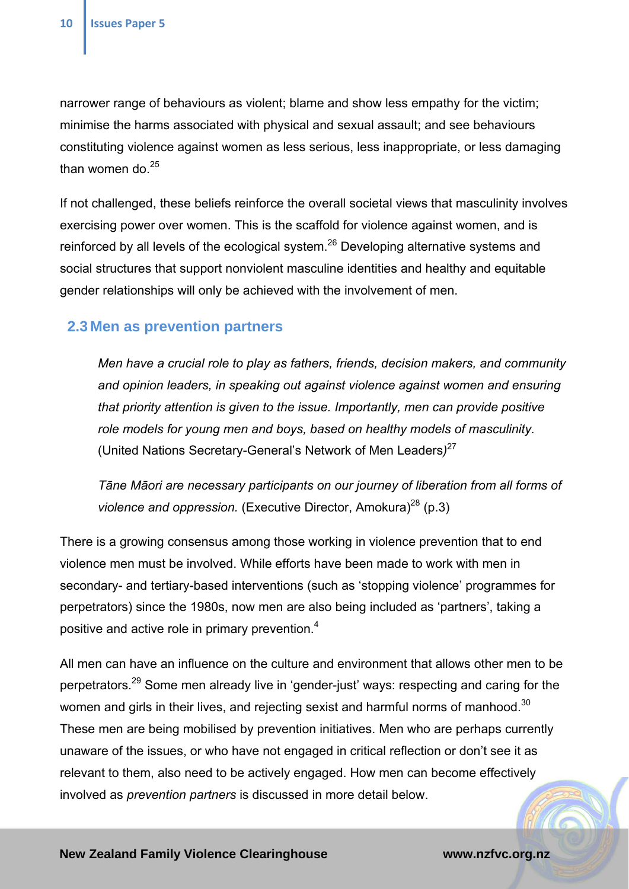narrower range of behaviours as violent; blame and show less empathy for the victim; minimise the harms associated with physical and sexual assault; and see behaviours constituting violence against women as less serious, less inappropriate, or less damaging than women do.<sup>25</sup>

If not challenged, these beliefs reinforce the overall societal views that masculinity involves exercising power over women. This is the scaffold for violence against women, and is reinforced by all levels of the ecological system.<sup>26</sup> Developing alternative systems and social structures that support nonviolent masculine identities and healthy and equitable gender relationships will only be achieved with the involvement of men.

#### **2.3 Men as prevention partners**

*Men have a crucial role to play as fathers, friends, decision makers, and community and opinion leaders, in speaking out against violence against women and ensuring that priority attention is given to the issue. Importantly, men can provide positive role models for young men and boys, based on healthy models of masculinity.*  (United Nations Secretary-General's Network of Men Leaders*)* 27

*Tāne Māori are necessary participants on our journey of liberation from all forms of violence and oppression.* (Executive Director, Amokura)<sup>28</sup> (p.3)

There is a growing consensus among those working in violence prevention that to end violence men must be involved. While efforts have been made to work with men in secondary- and tertiary-based interventions (such as 'stopping violence' programmes for perpetrators) since the 1980s, now men are also being included as 'partners', taking a positive and active role in primary prevention.<sup>4</sup>

All men can have an influence on the culture and environment that allows other men to be perpetrators.29 Some men already live in 'gender-just' ways: respecting and caring for the women and girls in their lives, and rejecting sexist and harmful norms of manhood.<sup>30</sup> These men are being mobilised by prevention initiatives. Men who are perhaps currently unaware of the issues, or who have not engaged in critical reflection or don't see it as relevant to them, also need to be actively engaged. How men can become effectively involved as *prevention partners* is discussed in more detail below.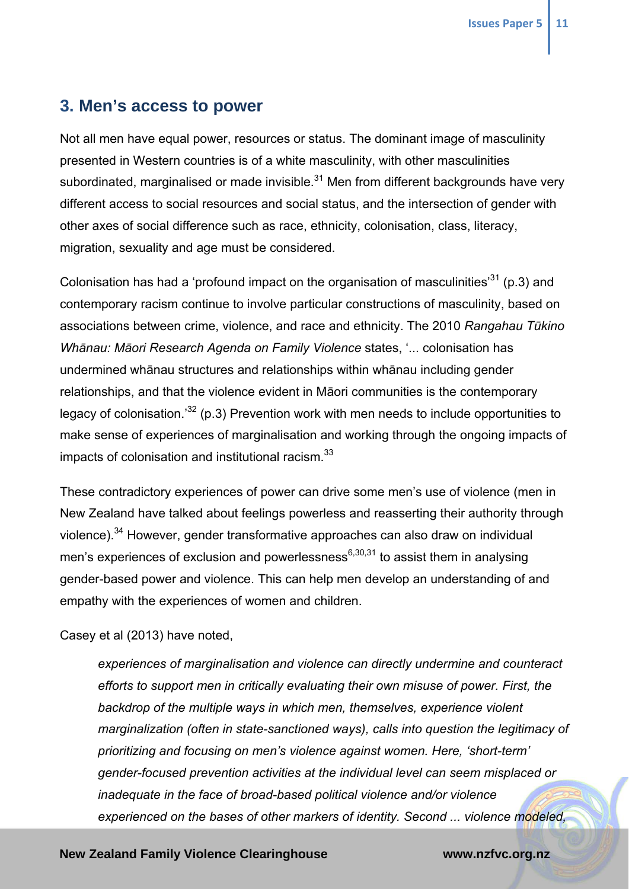## **3. Men's access to power**

Not all men have equal power, resources or status. The dominant image of masculinity presented in Western countries is of a white masculinity, with other masculinities subordinated, marginalised or made invisible. $31$  Men from different backgrounds have very different access to social resources and social status, and the intersection of gender with other axes of social difference such as race, ethnicity, colonisation, class, literacy, migration, sexuality and age must be considered.

Colonisation has had a 'profound impact on the organisation of masculinities<sup>31</sup> (p.3) and contemporary racism continue to involve particular constructions of masculinity, based on associations between crime, violence, and race and ethnicity. The 2010 *Rangahau Tūkino Whānau: Māori Research Agenda on Family Violence* states, '... colonisation has undermined whānau structures and relationships within whānau including gender relationships, and that the violence evident in Māori communities is the contemporary legacy of colonisation.<sup>32</sup> (p.3) Prevention work with men needs to include opportunities to make sense of experiences of marginalisation and working through the ongoing impacts of impacts of colonisation and institutional racism.<sup>33</sup>

These contradictory experiences of power can drive some men's use of violence (men in New Zealand have talked about feelings powerless and reasserting their authority through violence).<sup>34</sup> However, gender transformative approaches can also draw on individual men's experiences of exclusion and powerlessness<sup>6,30,31</sup> to assist them in analysing gender-based power and violence. This can help men develop an understanding of and empathy with the experiences of women and children.

Casey et al (2013) have noted,

*experiences of marginalisation and violence can directly undermine and counteract efforts to support men in critically evaluating their own misuse of power. First, the backdrop of the multiple ways in which men, themselves, experience violent marginalization (often in state-sanctioned ways), calls into question the legitimacy of prioritizing and focusing on men's violence against women. Here, 'short-term' gender-focused prevention activities at the individual level can seem misplaced or inadequate in the face of broad-based political violence and/or violence experienced on the bases of other markers of identity. Second ... violence modeled,*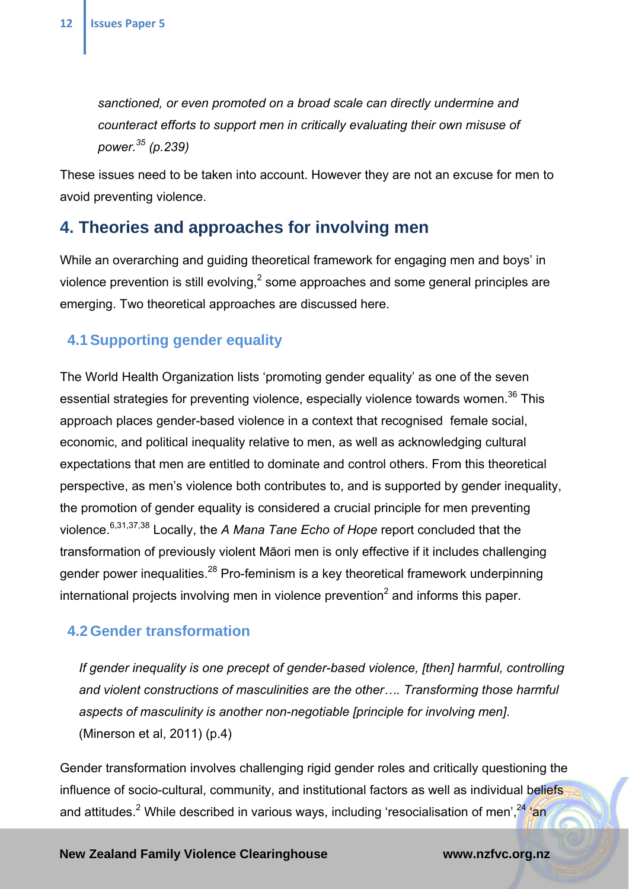*sanctioned, or even promoted on a broad scale can directly undermine and counteract efforts to support men in critically evaluating their own misuse of power.35 (p.239)* 

These issues need to be taken into account. However they are not an excuse for men to avoid preventing violence.

## **4. Theories and approaches for involving men**

While an overarching and guiding theoretical framework for engaging men and boys' in violence prevention is still evolving,<sup>2</sup> some approaches and some general principles are emerging. Two theoretical approaches are discussed here.

### **4.1 Supporting gender equality**

The World Health Organization lists 'promoting gender equality' as one of the seven essential strategies for preventing violence, especially violence towards women.<sup>36</sup> This approach places gender-based violence in a context that recognised female social, economic, and political inequality relative to men, as well as acknowledging cultural expectations that men are entitled to dominate and control others. From this theoretical perspective, as men's violence both contributes to, and is supported by gender inequality, the promotion of gender equality is considered a crucial principle for men preventing violence.6,31,37,38 Locally, the *A Mana Tane Echo of Hope* report concluded that the transformation of previously violent Māori men is only effective if it includes challenging gender power inequalities.<sup>28</sup> Pro-feminism is a key theoretical framework underpinning international projects involving men in violence prevention<sup>2</sup> and informs this paper.

### **4.2 Gender transformation**

*If gender inequality is one precept of gender-based violence, [then] harmful, controlling and violent constructions of masculinities are the other…. Transforming those harmful aspects of masculinity is another non-negotiable [principle for involving men]*. (Minerson et al, 2011) (p.4)

Gender transformation involves challenging rigid gender roles and critically questioning the influence of socio-cultural, community, and institutional factors as well as individual beliefs and attitudes.<sup>2</sup> While described in various ways, including 'resocialisation of men',<sup>24</sup>/an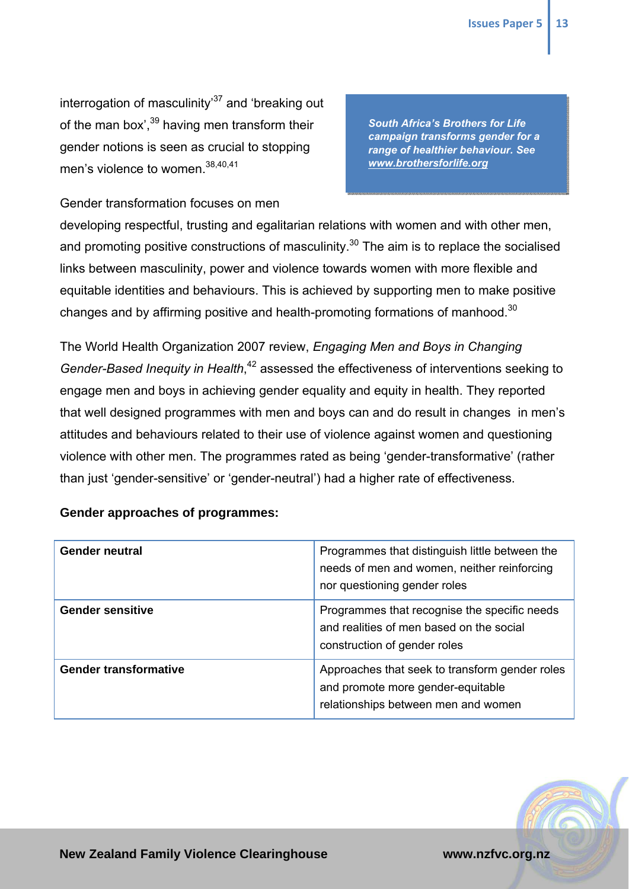interrogation of masculinity<sup>37</sup> and 'breaking out of the man box',  $39$  having men transform their gender notions is seen as crucial to stopping men's violence to women.<sup>38,40,41</sup>

*South Africa's Brothers for Life campaign transforms gender for a range of healthier behaviour. See www.brothersforlife.org* 

Gender transformation focuses on men

developing respectful, trusting and egalitarian relations with women and with other men, and promoting positive constructions of masculinity.<sup>30</sup> The aim is to replace the socialised links between masculinity, power and violence towards women with more flexible and equitable identities and behaviours. This is achieved by supporting men to make positive changes and by affirming positive and health-promoting formations of manhood.<sup>30</sup>

The World Health Organization 2007 review, *Engaging Men and Boys in Changing Gender-Based Inequity in Health*, 42 assessed the effectiveness of interventions seeking to engage men and boys in achieving gender equality and equity in health. They reported that well designed programmes with men and boys can and do result in changes in men's attitudes and behaviours related to their use of violence against women and questioning violence with other men. The programmes rated as being 'gender-transformative' (rather than just 'gender-sensitive' or 'gender-neutral') had a higher rate of effectiveness.

#### **Gender approaches of programmes:**

| <b>Gender neutral</b>        | Programmes that distinguish little between the<br>needs of men and women, neither reinforcing<br>nor questioning gender roles |
|------------------------------|-------------------------------------------------------------------------------------------------------------------------------|
| <b>Gender sensitive</b>      | Programmes that recognise the specific needs<br>and realities of men based on the social<br>construction of gender roles      |
| <b>Gender transformative</b> | Approaches that seek to transform gender roles<br>and promote more gender-equitable<br>relationships between men and women    |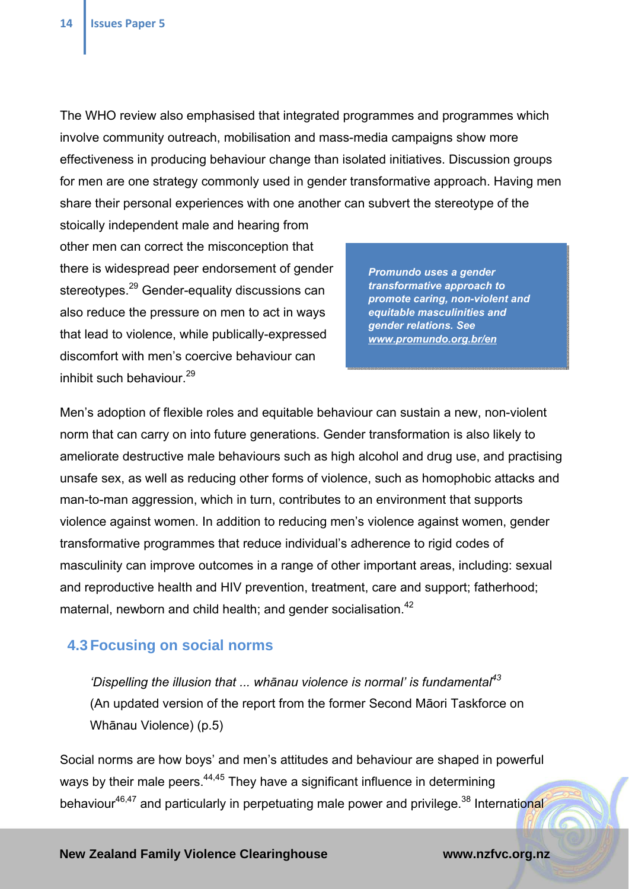The WHO review also emphasised that integrated programmes and programmes which involve community outreach, mobilisation and mass-media campaigns show more effectiveness in producing behaviour change than isolated initiatives. Discussion groups for men are one strategy commonly used in gender transformative approach. Having men share their personal experiences with one another can subvert the stereotype of the

stoically independent male and hearing from other men can correct the misconception that there is widespread peer endorsement of gender stereotypes.<sup>29</sup> Gender-equality discussions can also reduce the pressure on men to act in ways that lead to violence, while publically-expressed discomfort with men's coercive behaviour can inhibit such behaviour.<sup>29</sup>

*Promundo uses a gender transformative approach to promote caring, non-violent and equitable masculinities and gender relations. See www.promundo.org.br/en* 

Men's adoption of flexible roles and equitable behaviour can sustain a new, non-violent norm that can carry on into future generations. Gender transformation is also likely to ameliorate destructive male behaviours such as high alcohol and drug use, and practising unsafe sex, as well as reducing other forms of violence, such as homophobic attacks and man-to-man aggression, which in turn, contributes to an environment that supports violence against women. In addition to reducing men's violence against women, gender transformative programmes that reduce individual's adherence to rigid codes of masculinity can improve outcomes in a range of other important areas, including: sexual and reproductive health and HIV prevention, treatment, care and support; fatherhood; maternal, newborn and child health; and gender socialisation.<sup>42</sup>

### **4.3 Focusing on social norms**

*'Dispelling the illusion that ... whānau violence is normal' is fundamental43* (An updated version of the report from the former Second Māori Taskforce on Whānau Violence) (p.5)

Social norms are how boys' and men's attitudes and behaviour are shaped in powerful ways by their male peers.<sup>44,45</sup> They have a significant influence in determining behaviour $46,47$  and particularly in perpetuating male power and privilege.<sup>38</sup> International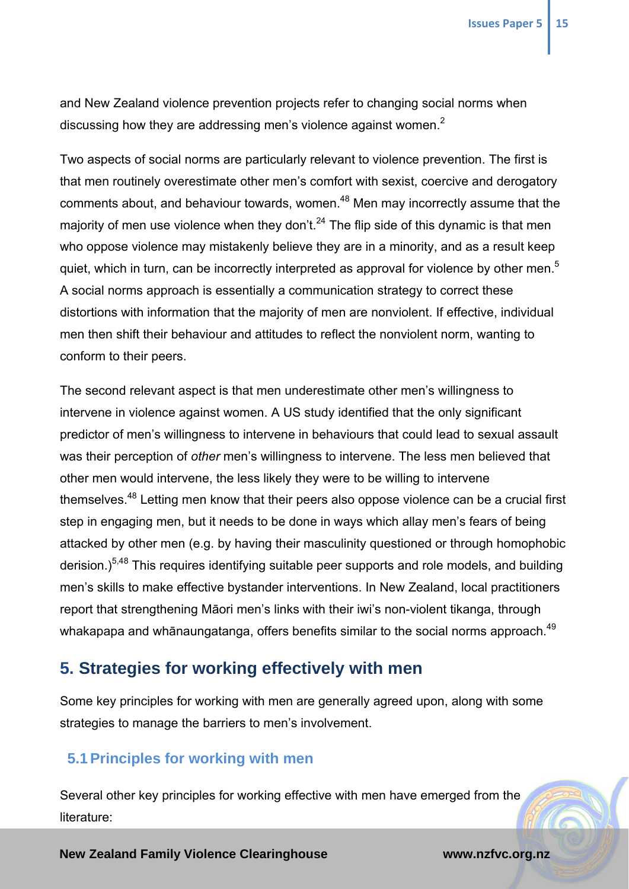and New Zealand violence prevention projects refer to changing social norms when discussing how they are addressing men's violence against women. $<sup>2</sup>$ </sup>

Two aspects of social norms are particularly relevant to violence prevention. The first is that men routinely overestimate other men's comfort with sexist, coercive and derogatory comments about, and behaviour towards, women.<sup>48</sup> Men may incorrectly assume that the majority of men use violence when they don't.<sup>24</sup> The flip side of this dynamic is that men who oppose violence may mistakenly believe they are in a minority, and as a result keep quiet, which in turn, can be incorrectly interpreted as approval for violence by other men.<sup>5</sup> A social norms approach is essentially a communication strategy to correct these distortions with information that the majority of men are nonviolent. If effective, individual men then shift their behaviour and attitudes to reflect the nonviolent norm, wanting to conform to their peers.

The second relevant aspect is that men underestimate other men's willingness to intervene in violence against women. A US study identified that the only significant predictor of men's willingness to intervene in behaviours that could lead to sexual assault was their perception of *other* men's willingness to intervene. The less men believed that other men would intervene, the less likely they were to be willing to intervene themselves.48 Letting men know that their peers also oppose violence can be a crucial first step in engaging men, but it needs to be done in ways which allay men's fears of being attacked by other men (e.g. by having their masculinity questioned or through homophobic derision.)<sup>5,48</sup> This requires identifying suitable peer supports and role models, and building men's skills to make effective bystander interventions. In New Zealand, local practitioners report that strengthening Māori men's links with their iwi's non-violent tikanga, through whakapapa and whānaungatanga, offers benefits similar to the social norms approach.<sup>49</sup>

### **5. Strategies for working effectively with men**

Some key principles for working with men are generally agreed upon, along with some strategies to manage the barriers to men's involvement.

### **5.1 Principles for working with men**

Several other key principles for working effective with men have emerged from the literature: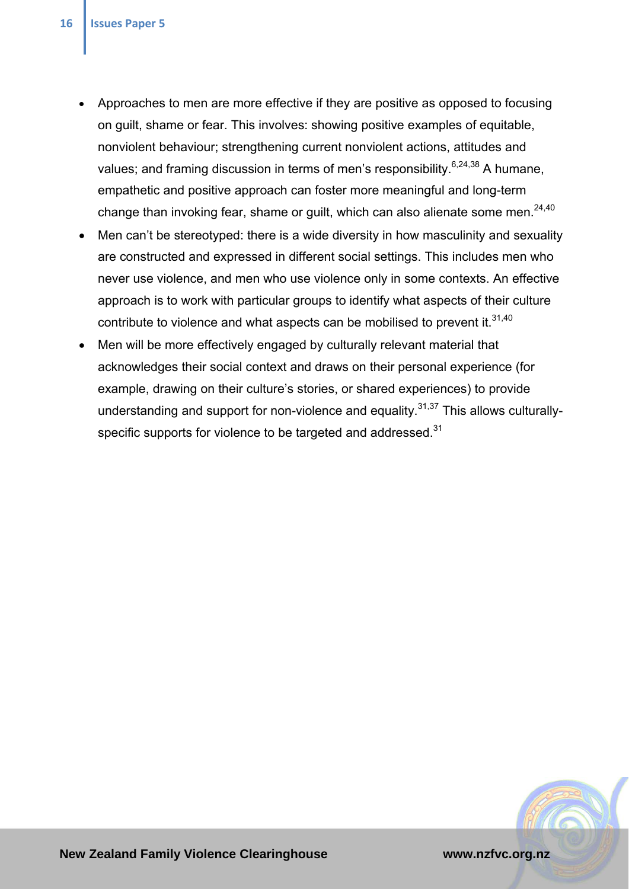- Approaches to men are more effective if they are positive as opposed to focusing on guilt, shame or fear. This involves: showing positive examples of equitable, nonviolent behaviour; strengthening current nonviolent actions, attitudes and values; and framing discussion in terms of men's responsibility.<sup>6,24,38</sup> A humane, empathetic and positive approach can foster more meaningful and long-term change than invoking fear, shame or guilt, which can also alienate some men. $24,40$
- Men can't be stereotyped: there is a wide diversity in how masculinity and sexuality are constructed and expressed in different social settings. This includes men who never use violence, and men who use violence only in some contexts. An effective approach is to work with particular groups to identify what aspects of their culture contribute to violence and what aspects can be mobilised to prevent it. $31,40$
- Men will be more effectively engaged by culturally relevant material that acknowledges their social context and draws on their personal experience (for example, drawing on their culture's stories, or shared experiences) to provide understanding and support for non-violence and equality.<sup>31,37</sup> This allows culturallyspecific supports for violence to be targeted and addressed.<sup>31</sup>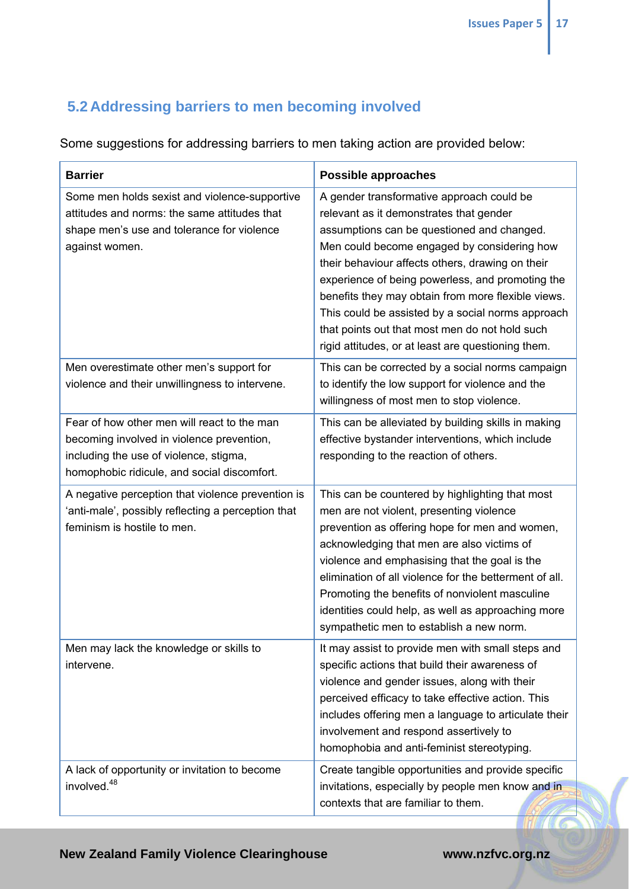## **5.2 Addressing barriers to men becoming involved**

Some suggestions for addressing barriers to men taking action are provided below:

| <b>Barrier</b>                                                                                                                                                                    | Possible approaches                                                                                                                                                                                                                                                                                                                                                                                                                                                                                          |
|-----------------------------------------------------------------------------------------------------------------------------------------------------------------------------------|--------------------------------------------------------------------------------------------------------------------------------------------------------------------------------------------------------------------------------------------------------------------------------------------------------------------------------------------------------------------------------------------------------------------------------------------------------------------------------------------------------------|
| Some men holds sexist and violence-supportive<br>attitudes and norms: the same attitudes that<br>shape men's use and tolerance for violence<br>against women.                     | A gender transformative approach could be<br>relevant as it demonstrates that gender<br>assumptions can be questioned and changed.<br>Men could become engaged by considering how<br>their behaviour affects others, drawing on their<br>experience of being powerless, and promoting the<br>benefits they may obtain from more flexible views.<br>This could be assisted by a social norms approach<br>that points out that most men do not hold such<br>rigid attitudes, or at least are questioning them. |
| Men overestimate other men's support for<br>violence and their unwillingness to intervene.                                                                                        | This can be corrected by a social norms campaign<br>to identify the low support for violence and the<br>willingness of most men to stop violence.                                                                                                                                                                                                                                                                                                                                                            |
| Fear of how other men will react to the man<br>becoming involved in violence prevention,<br>including the use of violence, stigma,<br>homophobic ridicule, and social discomfort. | This can be alleviated by building skills in making<br>effective bystander interventions, which include<br>responding to the reaction of others.                                                                                                                                                                                                                                                                                                                                                             |
| A negative perception that violence prevention is<br>'anti-male', possibly reflecting a perception that<br>feminism is hostile to men.                                            | This can be countered by highlighting that most<br>men are not violent, presenting violence<br>prevention as offering hope for men and women,<br>acknowledging that men are also victims of<br>violence and emphasising that the goal is the<br>elimination of all violence for the betterment of all.<br>Promoting the benefits of nonviolent masculine<br>identities could help, as well as approaching more<br>sympathetic men to establish a new norm.                                                   |
| Men may lack the knowledge or skills to<br>intervene.                                                                                                                             | It may assist to provide men with small steps and<br>specific actions that build their awareness of<br>violence and gender issues, along with their<br>perceived efficacy to take effective action. This<br>includes offering men a language to articulate their<br>involvement and respond assertively to<br>homophobia and anti-feminist stereotyping.                                                                                                                                                     |
| A lack of opportunity or invitation to become<br>involved. <sup>48</sup>                                                                                                          | Create tangible opportunities and provide specific<br>invitations, especially by people men know and in<br>contexts that are familiar to them.                                                                                                                                                                                                                                                                                                                                                               |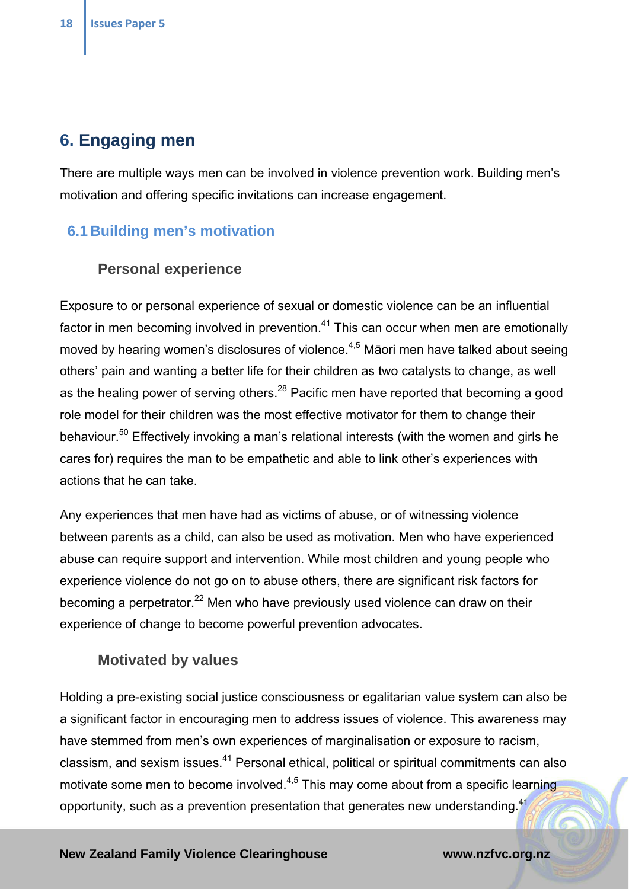## **6. Engaging men**

There are multiple ways men can be involved in violence prevention work. Building men's motivation and offering specific invitations can increase engagement.

### **6.1 Building men's motivation**

### **Personal experience**

Exposure to or personal experience of sexual or domestic violence can be an influential factor in men becoming involved in prevention.<sup>41</sup> This can occur when men are emotionally moved by hearing women's disclosures of violence.<sup>4,5</sup> Māori men have talked about seeing others' pain and wanting a better life for their children as two catalysts to change, as well as the healing power of serving others.<sup>28</sup> Pacific men have reported that becoming a good role model for their children was the most effective motivator for them to change their behaviour.<sup>50</sup> Effectively invoking a man's relational interests (with the women and girls he cares for) requires the man to be empathetic and able to link other's experiences with actions that he can take.

Any experiences that men have had as victims of abuse, or of witnessing violence between parents as a child, can also be used as motivation. Men who have experienced abuse can require support and intervention. While most children and young people who experience violence do not go on to abuse others, there are significant risk factors for becoming a perpetrator.<sup>22</sup> Men who have previously used violence can draw on their experience of change to become powerful prevention advocates.

### **Motivated by values**

Holding a pre-existing social justice consciousness or egalitarian value system can also be a significant factor in encouraging men to address issues of violence. This awareness may have stemmed from men's own experiences of marginalisation or exposure to racism, classism, and sexism issues.41 Personal ethical, political or spiritual commitments can also motivate some men to become involved. $4,5$  This may come about from a specific learning opportunity, such as a prevention presentation that generates new understanding. $41$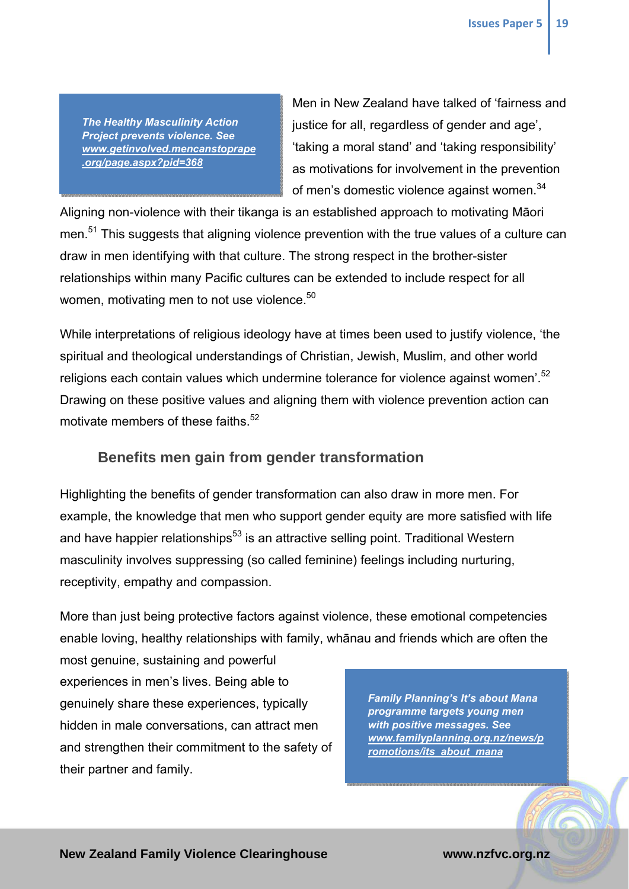*The Healthy Masculinity Action Project prevents violence. See www.getinvolved.mencanstoprape .org/page.aspx?pid=368* 

Men in New Zealand have talked of 'fairness and justice for all, regardless of gender and age', 'taking a moral stand' and 'taking responsibility' as motivations for involvement in the prevention of men's domestic violence against women.<sup>34</sup>

Aligning non-violence with their tikanga is an established approach to motivating Māori men.<sup>51</sup> This suggests that aligning violence prevention with the true values of a culture can draw in men identifying with that culture. The strong respect in the brother-sister relationships within many Pacific cultures can be extended to include respect for all women, motivating men to not use violence.<sup>50</sup>

While interpretations of religious ideology have at times been used to justify violence, 'the spiritual and theological understandings of Christian, Jewish, Muslim, and other world religions each contain values which undermine tolerance for violence against women<sup>'.52</sup> Drawing on these positive values and aligning them with violence prevention action can motivate members of these faiths.<sup>52</sup>

### **Benefits men gain from gender transformation**

Highlighting the benefits of gender transformation can also draw in more men. For example, the knowledge that men who support gender equity are more satisfied with life and have happier relationships<sup>53</sup> is an attractive selling point. Traditional Western masculinity involves suppressing (so called feminine) feelings including nurturing, receptivity, empathy and compassion.

More than just being protective factors against violence, these emotional competencies enable loving, healthy relationships with family, whānau and friends which are often the most genuine, sustaining and powerful

experiences in men's lives. Being able to genuinely share these experiences, typically hidden in male conversations, can attract men and strengthen their commitment to the safety of their partner and family.

*Family Planning's It's about Mana programme targets young men with positive messages. See www.familyplanning.org.nz/news/p romotions/its\_about\_mana*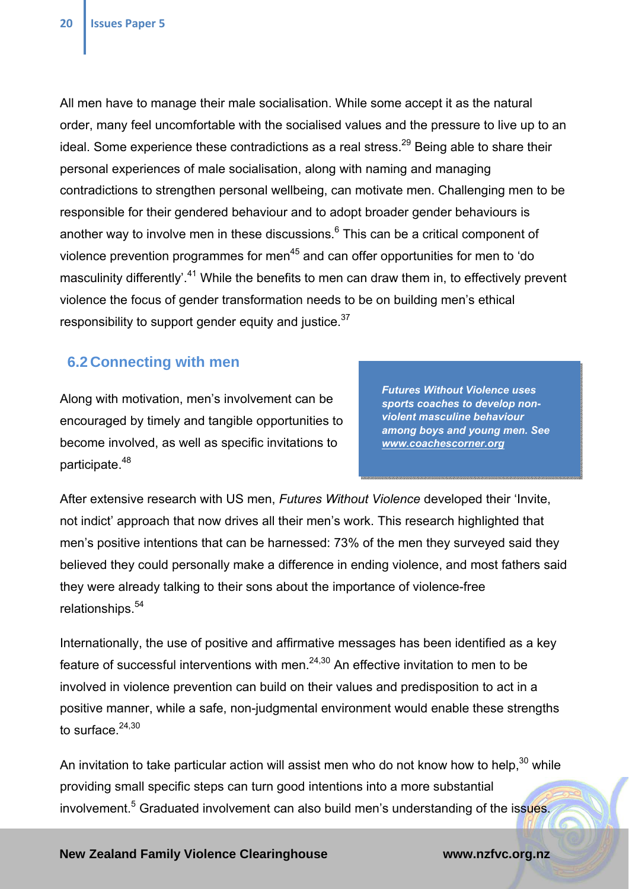All men have to manage their male socialisation. While some accept it as the natural order, many feel uncomfortable with the socialised values and the pressure to live up to an ideal. Some experience these contradictions as a real stress.<sup>29</sup> Being able to share their personal experiences of male socialisation, along with naming and managing contradictions to strengthen personal wellbeing, can motivate men. Challenging men to be responsible for their gendered behaviour and to adopt broader gender behaviours is another way to involve men in these discussions. $6$  This can be a critical component of violence prevention programmes for men<sup>45</sup> and can offer opportunities for men to 'do masculinity differently<sup>'.41</sup> While the benefits to men can draw them in, to effectively prevent violence the focus of gender transformation needs to be on building men's ethical responsibility to support gender equity and justice. $37$ 

### **6.2 Connecting with men**

Along with motivation, men's involvement can be encouraged by timely and tangible opportunities to become involved, as well as specific invitations to participate.<sup>48</sup>

*Futures Without Violence uses sports coaches to develop nonviolent masculine behaviour among boys and young men. See www.coachescorner.org* 

After extensive research with US men, *Futures Without Violence* developed their 'Invite, not indict' approach that now drives all their men's work. This research highlighted that men's positive intentions that can be harnessed: 73% of the men they surveyed said they believed they could personally make a difference in ending violence, and most fathers said they were already talking to their sons about the importance of violence-free relationships.54

Internationally, the use of positive and affirmative messages has been identified as a key feature of successful interventions with men. $24,30$  An effective invitation to men to be involved in violence prevention can build on their values and predisposition to act in a positive manner, while a safe, non-judgmental environment would enable these strengths to surface  $24,30$ 

An invitation to take particular action will assist men who do not know how to help, $30$  while providing small specific steps can turn good intentions into a more substantial involvement.<sup>5</sup> Graduated involvement can also build men's understanding of the issues.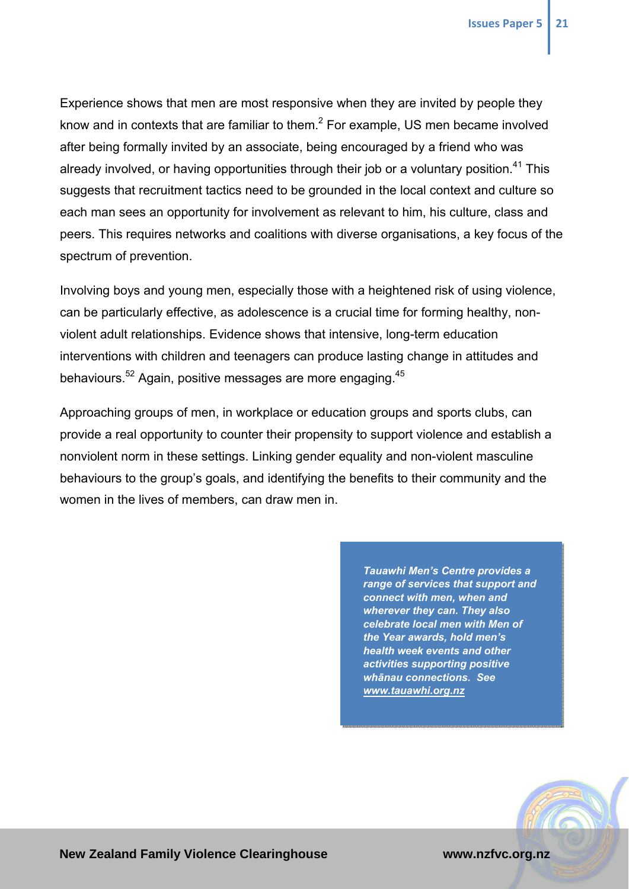Experience shows that men are most responsive when they are invited by people they know and in contexts that are familiar to them. $^2$  For example, US men became involved after being formally invited by an associate, being encouraged by a friend who was already involved, or having opportunities through their job or a voluntary position.<sup>41</sup> This suggests that recruitment tactics need to be grounded in the local context and culture so each man sees an opportunity for involvement as relevant to him, his culture, class and peers. This requires networks and coalitions with diverse organisations, a key focus of the spectrum of prevention.

Involving boys and young men, especially those with a heightened risk of using violence, can be particularly effective, as adolescence is a crucial time for forming healthy, nonviolent adult relationships. Evidence shows that intensive, long-term education interventions with children and teenagers can produce lasting change in attitudes and behaviours.<sup>52</sup> Again, positive messages are more engaging.<sup>45</sup>

Approaching groups of men, in workplace or education groups and sports clubs, can provide a real opportunity to counter their propensity to support violence and establish a nonviolent norm in these settings. Linking gender equality and non-violent masculine behaviours to the group's goals, and identifying the benefits to their community and the women in the lives of members, can draw men in.

> *Tauawhi Men's Centre provides a range of services that support and connect with men, when and wherever they can. They also celebrate local men with Men of the Year awards, hold men's health week events and other activities supporting positive whānau connections. See www.tauawhi.org.nz*

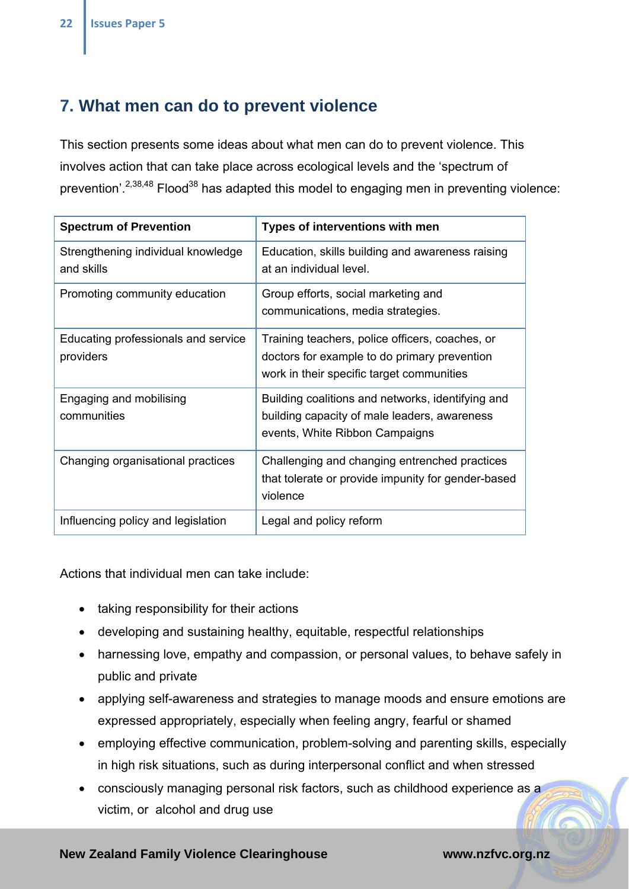## **7. What men can do to prevent violence**

This section presents some ideas about what men can do to prevent violence. This involves action that can take place across ecological levels and the 'spectrum of prevention'.<sup>2,38,48</sup> Flood<sup>38</sup> has adapted this model to engaging men in preventing violence:

| <b>Spectrum of Prevention</b>                    | Types of interventions with men                                                                                                              |
|--------------------------------------------------|----------------------------------------------------------------------------------------------------------------------------------------------|
| Strengthening individual knowledge<br>and skills | Education, skills building and awareness raising<br>at an individual level.                                                                  |
| Promoting community education                    | Group efforts, social marketing and<br>communications, media strategies.                                                                     |
| Educating professionals and service<br>providers | Training teachers, police officers, coaches, or<br>doctors for example to do primary prevention<br>work in their specific target communities |
| Engaging and mobilising<br>communities           | Building coalitions and networks, identifying and<br>building capacity of male leaders, awareness<br>events, White Ribbon Campaigns          |
| Changing organisational practices                | Challenging and changing entrenched practices<br>that tolerate or provide impunity for gender-based<br>violence                              |
| Influencing policy and legislation               | Legal and policy reform                                                                                                                      |

Actions that individual men can take include:

- taking responsibility for their actions
- developing and sustaining healthy, equitable, respectful relationships
- harnessing love, empathy and compassion, or personal values, to behave safely in public and private
- applying self-awareness and strategies to manage moods and ensure emotions are expressed appropriately, especially when feeling angry, fearful or shamed
- employing effective communication, problem-solving and parenting skills, especially in high risk situations, such as during interpersonal conflict and when stressed
- consciously managing personal risk factors, such as childhood experience as a victim, or alcohol and drug use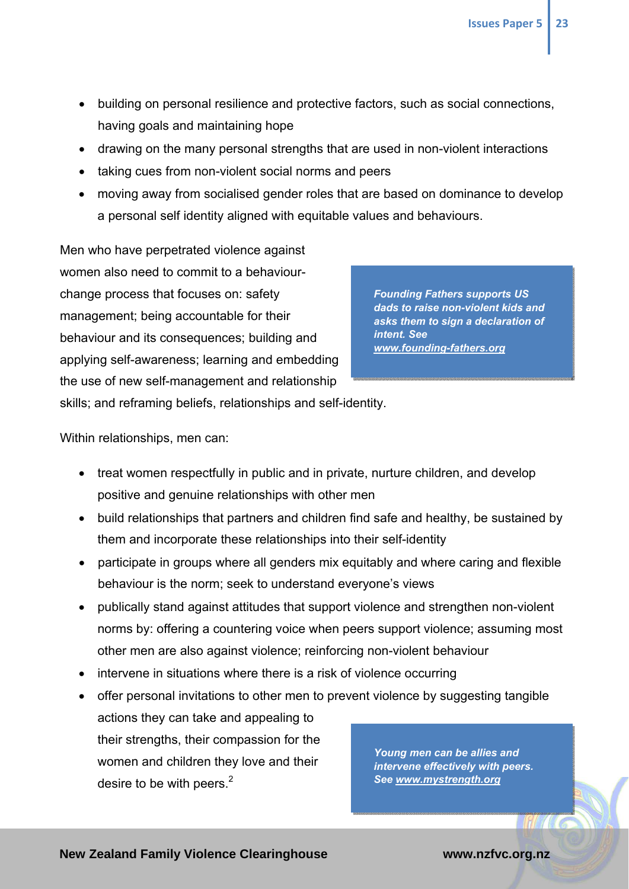- building on personal resilience and protective factors, such as social connections, having goals and maintaining hope
- drawing on the many personal strengths that are used in non-violent interactions
- taking cues from non-violent social norms and peers
- moving away from socialised gender roles that are based on dominance to develop a personal self identity aligned with equitable values and behaviours.

Men who have perpetrated violence against women also need to commit to a behaviourchange process that focuses on: safety management; being accountable for their behaviour and its consequences; building and applying self-awareness; learning and embedding the use of new self-management and relationship

*Founding Fathers supports US dads to raise non-violent kids and asks them to sign a declaration of intent. See www.founding-fathers.org*

skills; and reframing beliefs, relationships and self-identity.

Within relationships, men can:

- treat women respectfully in public and in private, nurture children, and develop positive and genuine relationships with other men
- build relationships that partners and children find safe and healthy, be sustained by them and incorporate these relationships into their self-identity
- participate in groups where all genders mix equitably and where caring and flexible behaviour is the norm; seek to understand everyone's views
- publically stand against attitudes that support violence and strengthen non-violent norms by: offering a countering voice when peers support violence; assuming most other men are also against violence; reinforcing non-violent behaviour
- intervene in situations where there is a risk of violence occurring
- offer personal invitations to other men to prevent violence by suggesting tangible actions they can take and appealing to their strengths, their compassion for the women and children they love and their desire to be with peers. $2$ *Young men can be allies and intervene effectively with peers. See www.mystrength.org*

**RICE**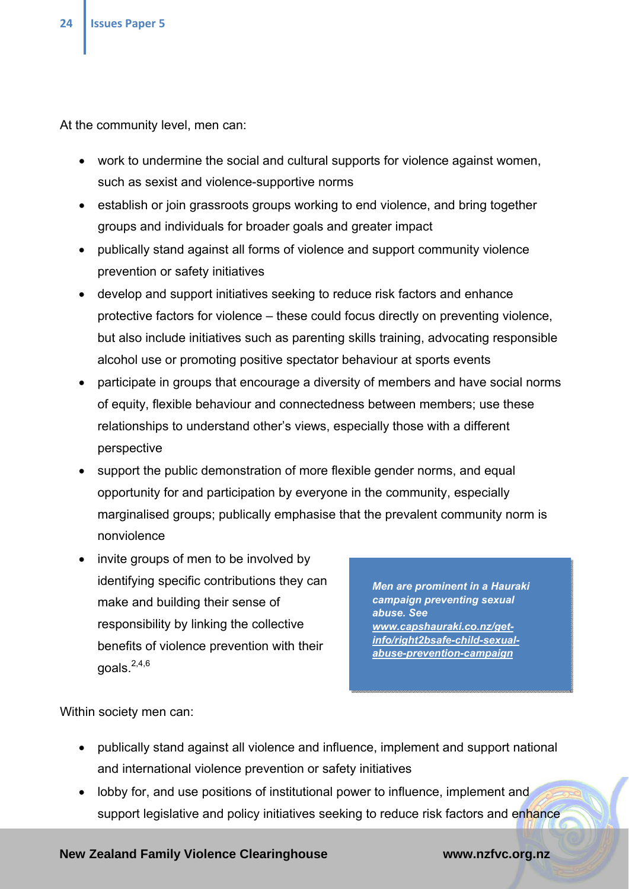At the community level, men can:

- work to undermine the social and cultural supports for violence against women, such as sexist and violence-supportive norms
- establish or join grassroots groups working to end violence, and bring together groups and individuals for broader goals and greater impact
- publically stand against all forms of violence and support community violence prevention or safety initiatives
- develop and support initiatives seeking to reduce risk factors and enhance protective factors for violence – these could focus directly on preventing violence, but also include initiatives such as parenting skills training, advocating responsible alcohol use or promoting positive spectator behaviour at sports events
- participate in groups that encourage a diversity of members and have social norms of equity, flexible behaviour and connectedness between members; use these relationships to understand other's views, especially those with a different perspective
- support the public demonstration of more flexible gender norms, and equal opportunity for and participation by everyone in the community, especially marginalised groups; publically emphasise that the prevalent community norm is nonviolence
- invite groups of men to be involved by identifying specific contributions they can make and building their sense of responsibility by linking the collective benefits of violence prevention with their goals. $^{2,4,6}$

*Men are prominent in a Hauraki campaign preventing sexual abuse. See www.capshauraki.co.nz/getinfo/right2bsafe-child-sexualabuse-prevention-campaign*

Within society men can:

- publically stand against all violence and influence, implement and support national and international violence prevention or safety initiatives
- lobby for, and use positions of institutional power to influence, implement and support legislative and policy initiatives seeking to reduce risk factors and enhance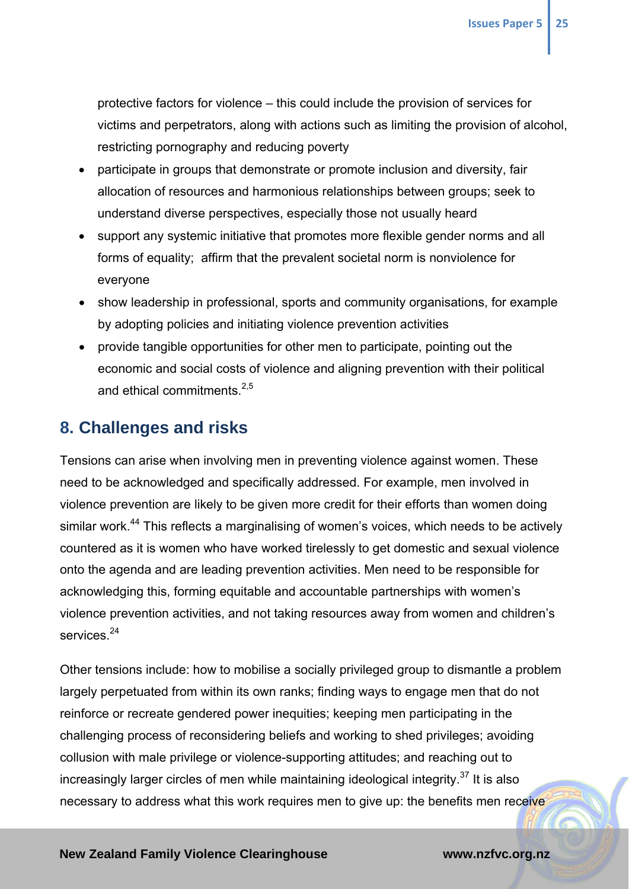protective factors for violence – this could include the provision of services for victims and perpetrators, along with actions such as limiting the provision of alcohol, restricting pornography and reducing poverty

- participate in groups that demonstrate or promote inclusion and diversity, fair allocation of resources and harmonious relationships between groups; seek to understand diverse perspectives, especially those not usually heard
- support any systemic initiative that promotes more flexible gender norms and all forms of equality; affirm that the prevalent societal norm is nonviolence for everyone
- show leadership in professional, sports and community organisations, for example by adopting policies and initiating violence prevention activities
- provide tangible opportunities for other men to participate, pointing out the economic and social costs of violence and aligning prevention with their political and ethical commitments. $2,5$

## **8. Challenges and risks**

Tensions can arise when involving men in preventing violence against women. These need to be acknowledged and specifically addressed. For example, men involved in violence prevention are likely to be given more credit for their efforts than women doing similar work.<sup>44</sup> This reflects a marginalising of women's voices, which needs to be actively countered as it is women who have worked tirelessly to get domestic and sexual violence onto the agenda and are leading prevention activities. Men need to be responsible for acknowledging this, forming equitable and accountable partnerships with women's violence prevention activities, and not taking resources away from women and children's services<sup>24</sup>

Other tensions include: how to mobilise a socially privileged group to dismantle a problem largely perpetuated from within its own ranks; finding ways to engage men that do not reinforce or recreate gendered power inequities; keeping men participating in the challenging process of reconsidering beliefs and working to shed privileges; avoiding collusion with male privilege or violence-supporting attitudes; and reaching out to increasingly larger circles of men while maintaining ideological integrity.<sup>37</sup> It is also necessary to address what this work requires men to give up: the benefits men receive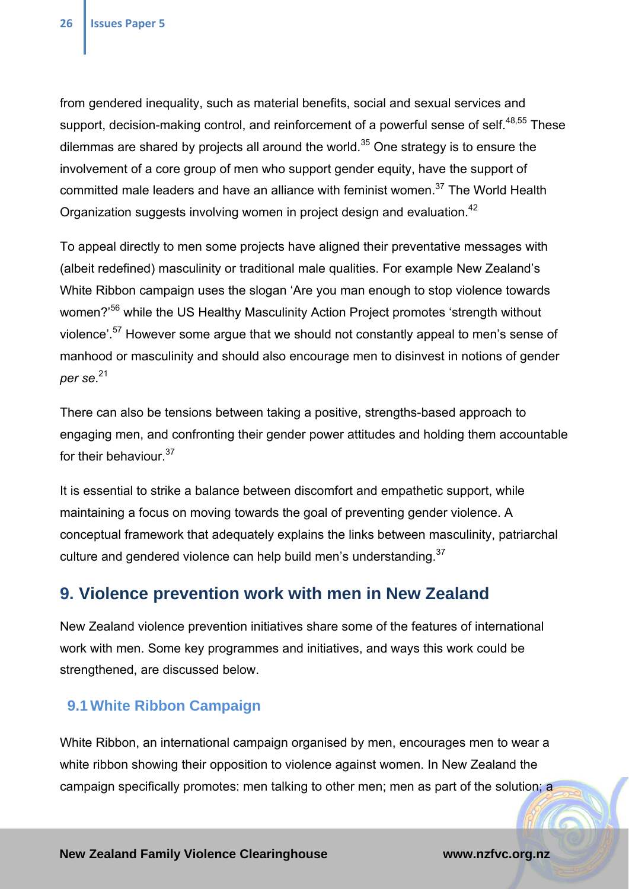from gendered inequality, such as material benefits, social and sexual services and support, decision-making control, and reinforcement of a powerful sense of self.<sup>48,55</sup> These dilemmas are shared by projects all around the world. $35$  One strategy is to ensure the involvement of a core group of men who support gender equity, have the support of committed male leaders and have an alliance with feminist women.<sup>37</sup> The World Health Organization suggests involving women in project design and evaluation.<sup>42</sup>

To appeal directly to men some projects have aligned their preventative messages with (albeit redefined) masculinity or traditional male qualities. For example New Zealand's White Ribbon campaign uses the slogan 'Are you man enough to stop violence towards women?'56 while the US Healthy Masculinity Action Project promotes 'strength without violence'.<sup>57</sup> However some argue that we should not constantly appeal to men's sense of manhood or masculinity and should also encourage men to disinvest in notions of gender *per se*. 21

There can also be tensions between taking a positive, strengths-based approach to engaging men, and confronting their gender power attitudes and holding them accountable for their behaviour.<sup>37</sup>

It is essential to strike a balance between discomfort and empathetic support, while maintaining a focus on moving towards the goal of preventing gender violence. A conceptual framework that adequately explains the links between masculinity, patriarchal culture and gendered violence can help build men's understanding.<sup>37</sup>

## **9. Violence prevention work with men in New Zealand**

New Zealand violence prevention initiatives share some of the features of international work with men. Some key programmes and initiatives, and ways this work could be strengthened, are discussed below.

### **9.1 White Ribbon Campaign**

White Ribbon, an international campaign organised by men, encourages men to wear a white ribbon showing their opposition to violence against women. In New Zealand the campaign specifically promotes: men talking to other men; men as part of the solution; a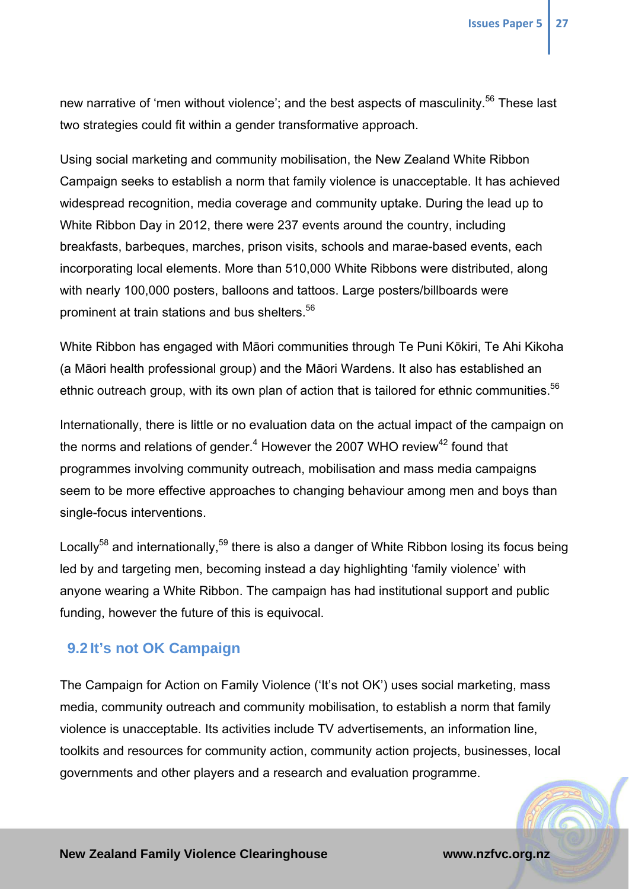new narrative of 'men without violence'; and the best aspects of masculinity.<sup>56</sup> These last two strategies could fit within a gender transformative approach.

Using social marketing and community mobilisation, the New Zealand White Ribbon Campaign seeks to establish a norm that family violence is unacceptable. It has achieved widespread recognition, media coverage and community uptake. During the lead up to White Ribbon Day in 2012, there were 237 events around the country, including breakfasts, barbeques, marches, prison visits, schools and marae-based events, each incorporating local elements. More than 510,000 White Ribbons were distributed, along with nearly 100,000 posters, balloons and tattoos. Large posters/billboards were prominent at train stations and bus shelters.<sup>56</sup>

White Ribbon has engaged with Māori communities through Te Puni Kōkiri, Te Ahi Kikoha (a Māori health professional group) and the Māori Wardens. It also has established an ethnic outreach group, with its own plan of action that is tailored for ethnic communities.<sup>56</sup>

Internationally, there is little or no evaluation data on the actual impact of the campaign on the norms and relations of gender. $4$  However the 2007 WHO review $42$  found that programmes involving community outreach, mobilisation and mass media campaigns seem to be more effective approaches to changing behaviour among men and boys than single-focus interventions.

Locally<sup>58</sup> and internationally,<sup>59</sup> there is also a danger of White Ribbon losing its focus being led by and targeting men, becoming instead a day highlighting 'family violence' with anyone wearing a White Ribbon. The campaign has had institutional support and public funding, however the future of this is equivocal.

#### **9.2 It's not OK Campaign**

The Campaign for Action on Family Violence ('It's not OK') uses social marketing, mass media, community outreach and community mobilisation, to establish a norm that family violence is unacceptable. Its activities include TV advertisements, an information line, toolkits and resources for community action, community action projects, businesses, local governments and other players and a research and evaluation programme.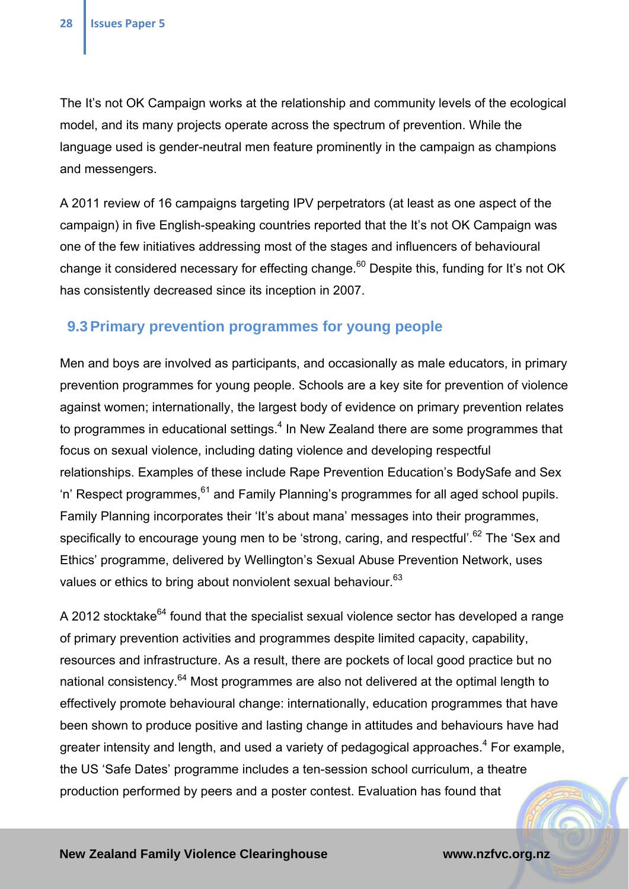The It's not OK Campaign works at the relationship and community levels of the ecological model, and its many projects operate across the spectrum of prevention. While the language used is gender-neutral men feature prominently in the campaign as champions and messengers.

A 2011 review of 16 campaigns targeting IPV perpetrators (at least as one aspect of the campaign) in five English-speaking countries reported that the It's not OK Campaign was one of the few initiatives addressing most of the stages and influencers of behavioural change it considered necessary for effecting change.<sup>60</sup> Despite this, funding for It's not OK has consistently decreased since its inception in 2007.

### **9.3 Primary prevention programmes for young people**

Men and boys are involved as participants, and occasionally as male educators, in primary prevention programmes for young people. Schools are a key site for prevention of violence against women; internationally, the largest body of evidence on primary prevention relates to programmes in educational settings. $4$  In New Zealand there are some programmes that focus on sexual violence, including dating violence and developing respectful relationships. Examples of these include Rape Prevention Education's BodySafe and Sex 'n' Respect programmes,  $61$  and Family Planning's programmes for all aged school pupils. Family Planning incorporates their 'It's about mana' messages into their programmes, specifically to encourage young men to be 'strong, caring, and respectful'.<sup>62</sup> The 'Sex and Ethics' programme, delivered by Wellington's Sexual Abuse Prevention Network, uses values or ethics to bring about nonviolent sexual behaviour.<sup>63</sup>

A 2012 stocktake $^{64}$  found that the specialist sexual violence sector has developed a range of primary prevention activities and programmes despite limited capacity, capability, resources and infrastructure. As a result, there are pockets of local good practice but no national consistency.<sup>64</sup> Most programmes are also not delivered at the optimal length to effectively promote behavioural change: internationally, education programmes that have been shown to produce positive and lasting change in attitudes and behaviours have had greater intensity and length, and used a variety of pedagogical approaches.<sup>4</sup> For example, the US 'Safe Dates' programme includes a ten-session school curriculum, a theatre production performed by peers and a poster contest. Evaluation has found that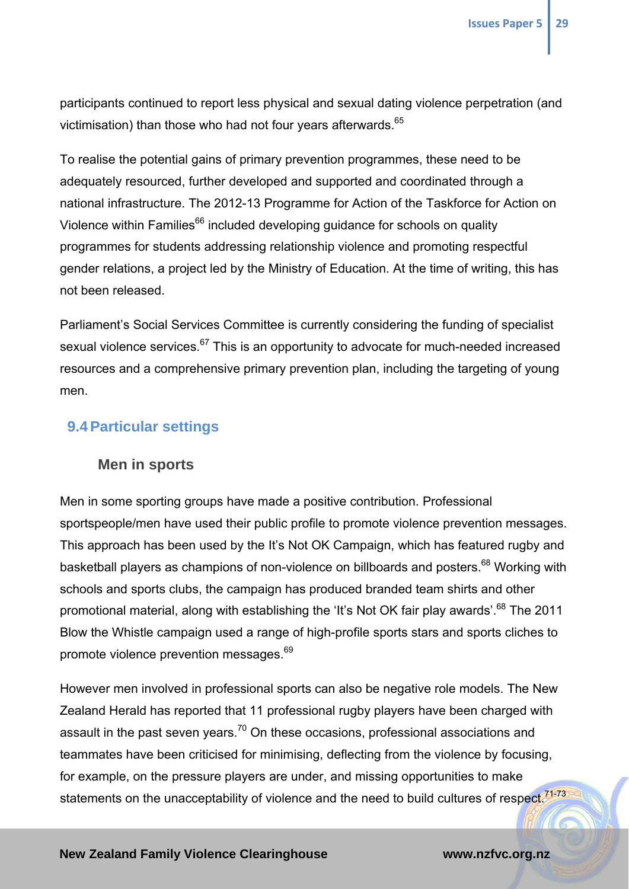participants continued to report less physical and sexual dating violence perpetration (and victimisation) than those who had not four years afterwards.<sup>65</sup>

To realise the potential gains of primary prevention programmes, these need to be adequately resourced, further developed and supported and coordinated through a national infrastructure. The 2012-13 Programme for Action of the Taskforce for Action on Violence within Families<sup>66</sup> included developing guidance for schools on quality programmes for students addressing relationship violence and promoting respectful gender relations, a project led by the Ministry of Education. At the time of writing, this has not been released.

Parliament's Social Services Committee is currently considering the funding of specialist sexual violence services.<sup>67</sup> This is an opportunity to advocate for much-needed increased resources and a comprehensive primary prevention plan, including the targeting of young men.

### **9.4 Particular settings**

#### **Men in sports**

Men in some sporting groups have made a positive contribution. Professional sportspeople/men have used their public profile to promote violence prevention messages. This approach has been used by the It's Not OK Campaign, which has featured rugby and basketball players as champions of non-violence on billboards and posters.<sup>68</sup> Working with schools and sports clubs, the campaign has produced branded team shirts and other promotional material, along with establishing the 'It's Not OK fair play awards'.<sup>68</sup> The 2011 Blow the Whistle campaign used a range of high-profile sports stars and sports cliches to promote violence prevention messages.<sup>69</sup>

However men involved in professional sports can also be negative role models. The New Zealand Herald has reported that 11 professional rugby players have been charged with assault in the past seven years.<sup>70</sup> On these occasions, professional associations and teammates have been criticised for minimising, deflecting from the violence by focusing, for example, on the pressure players are under, and missing opportunities to make statements on the unacceptability of violence and the need to build cultures of respect.<sup>71-73</sup>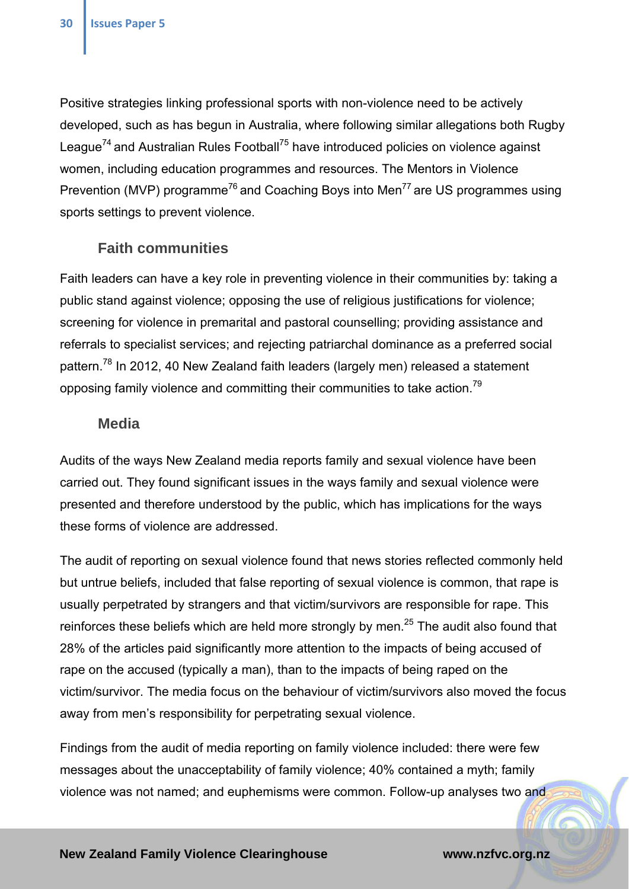Positive strategies linking professional sports with non-violence need to be actively developed, such as has begun in Australia, where following similar allegations both Rugby League<sup>74</sup> and Australian Rules Football<sup>75</sup> have introduced policies on violence against women, including education programmes and resources. The Mentors in Violence Prevention (MVP) programme<sup>76</sup> and Coaching Boys into Men<sup>77</sup> are US programmes using sports settings to prevent violence.

#### **Faith communities**

Faith leaders can have a key role in preventing violence in their communities by: taking a public stand against violence; opposing the use of religious justifications for violence; screening for violence in premarital and pastoral counselling; providing assistance and referrals to specialist services; and rejecting patriarchal dominance as a preferred social pattern.<sup>78</sup> In 2012, 40 New Zealand faith leaders (largely men) released a statement opposing family violence and committing their communities to take action.<sup>79</sup>

#### **Media**

Audits of the ways New Zealand media reports family and sexual violence have been carried out. They found significant issues in the ways family and sexual violence were presented and therefore understood by the public, which has implications for the ways these forms of violence are addressed.

The audit of reporting on sexual violence found that news stories reflected commonly held but untrue beliefs, included that false reporting of sexual violence is common, that rape is usually perpetrated by strangers and that victim/survivors are responsible for rape. This reinforces these beliefs which are held more strongly by men. $^{25}$  The audit also found that 28% of the articles paid significantly more attention to the impacts of being accused of rape on the accused (typically a man), than to the impacts of being raped on the victim/survivor. The media focus on the behaviour of victim/survivors also moved the focus away from men's responsibility for perpetrating sexual violence.

Findings from the audit of media reporting on family violence included: there were few messages about the unacceptability of family violence; 40% contained a myth; family violence was not named; and euphemisms were common. Follow-up analyses two and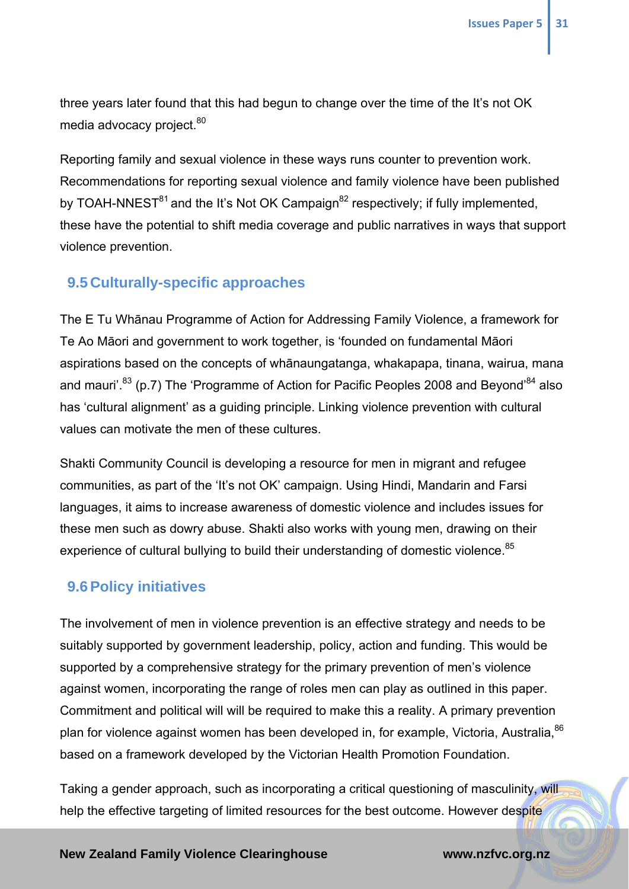three years later found that this had begun to change over the time of the It's not OK media advocacy project.<sup>80</sup>

Reporting family and sexual violence in these ways runs counter to prevention work. Recommendations for reporting sexual violence and family violence have been published by TOAH-NNEST $^{81}$  and the It's Not OK Campaign $^{82}$  respectively; if fully implemented, these have the potential to shift media coverage and public narratives in ways that support violence prevention.

### **9.5 Culturally-specific approaches**

The E Tu Whānau Programme of Action for Addressing Family Violence, a framework for Te Ao Māori and government to work together, is 'founded on fundamental Māori aspirations based on the concepts of whānaungatanga, whakapapa, tinana, wairua, mana and mauri<sup>'.83</sup> (p.7) The 'Programme of Action for Pacific Peoples 2008 and Beyond<sup>84</sup> also has 'cultural alignment' as a guiding principle. Linking violence prevention with cultural values can motivate the men of these cultures.

Shakti Community Council is developing a resource for men in migrant and refugee communities, as part of the 'It's not OK' campaign. Using Hindi, Mandarin and Farsi languages, it aims to increase awareness of domestic violence and includes issues for these men such as dowry abuse. Shakti also works with young men, drawing on their experience of cultural bullying to build their understanding of domestic violence.<sup>85</sup>

### **9.6 Policy initiatives**

The involvement of men in violence prevention is an effective strategy and needs to be suitably supported by government leadership, policy, action and funding. This would be supported by a comprehensive strategy for the primary prevention of men's violence against women, incorporating the range of roles men can play as outlined in this paper. Commitment and political will will be required to make this a reality. A primary prevention plan for violence against women has been developed in, for example, Victoria, Australia, 86 based on a framework developed by the Victorian Health Promotion Foundation.

Taking a gender approach, such as incorporating a critical questioning of masculinity, will help the effective targeting of limited resources for the best outcome. However despite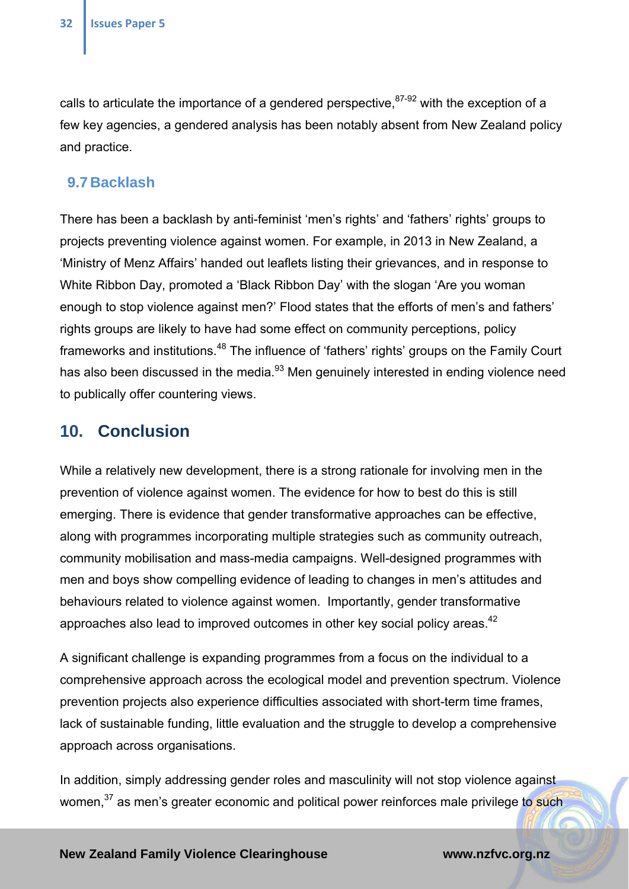calls to articulate the importance of a gendered perspective,  $87-92$  with the exception of a few key agencies, a gendered analysis has been notably absent from New Zealand policy and practice.

#### **9.7 Backlash**

There has been a backlash by anti-feminist 'men's rights' and 'fathers' rights' groups to projects preventing violence against women. For example, in 2013 in New Zealand, a 'Ministry of Menz Affairs' handed out leaflets listing their grievances, and in response to White Ribbon Day, promoted a 'Black Ribbon Day' with the slogan 'Are you woman enough to stop violence against men?' Flood states that the efforts of men's and fathers' rights groups are likely to have had some effect on community perceptions, policy frameworks and institutions.48 The influence of 'fathers' rights' groups on the Family Court has also been discussed in the media.<sup>93</sup> Men genuinely interested in ending violence need to publically offer countering views.

### **10. Conclusion**

While a relatively new development, there is a strong rationale for involving men in the prevention of violence against women. The evidence for how to best do this is still emerging. There is evidence that gender transformative approaches can be effective, along with programmes incorporating multiple strategies such as community outreach, community mobilisation and mass-media campaigns. Well-designed programmes with men and boys show compelling evidence of leading to changes in men's attitudes and behaviours related to violence against women. Importantly, gender transformative approaches also lead to improved outcomes in other key social policy areas.<sup>42</sup>

A significant challenge is expanding programmes from a focus on the individual to a comprehensive approach across the ecological model and prevention spectrum. Violence prevention projects also experience difficulties associated with short-term time frames, lack of sustainable funding, little evaluation and the struggle to develop a comprehensive approach across organisations.

In addition, simply addressing gender roles and masculinity will not stop violence against women,<sup>37</sup> as men's greater economic and political power reinforces male privilege to such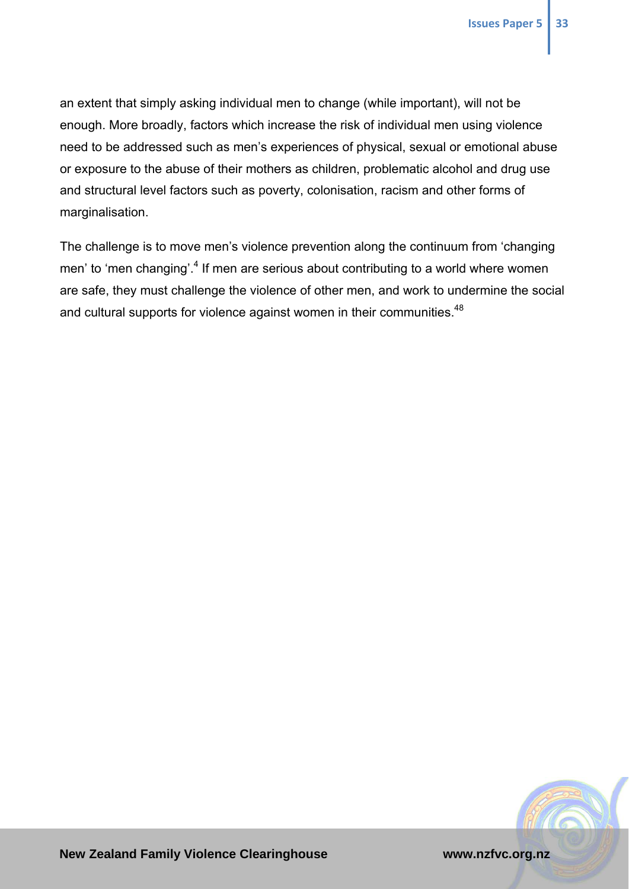an extent that simply asking individual men to change (while important), will not be enough. More broadly, factors which increase the risk of individual men using violence need to be addressed such as men's experiences of physical, sexual or emotional abuse or exposure to the abuse of their mothers as children, problematic alcohol and drug use and structural level factors such as poverty, colonisation, racism and other forms of marginalisation.

The challenge is to move men's violence prevention along the continuum from 'changing men' to 'men changing'.<sup>4</sup> If men are serious about contributing to a world where women are safe, they must challenge the violence of other men, and work to undermine the social and cultural supports for violence against women in their communities.<sup>48</sup>

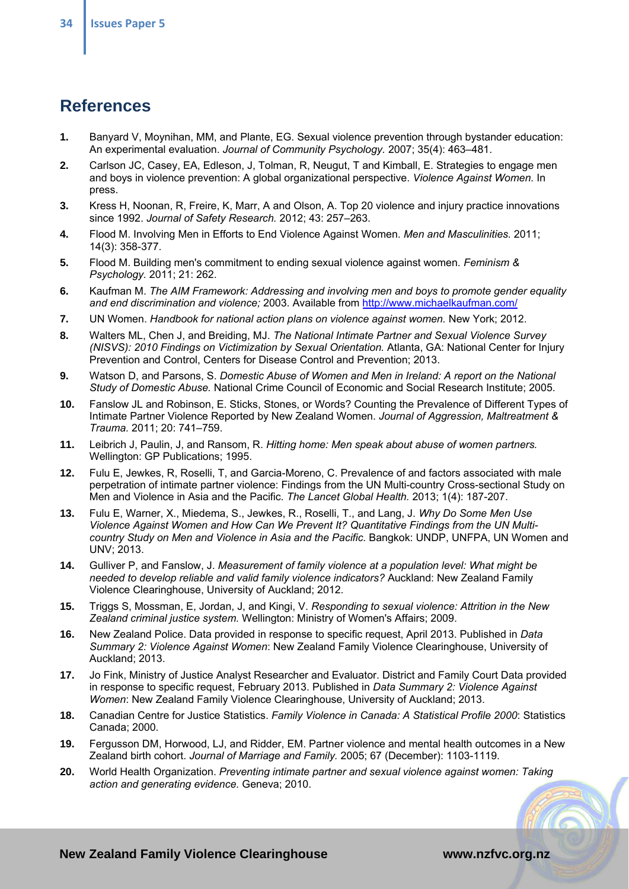## **References**

- **1.** Banyard V, Moynihan, MM, and Plante, EG. Sexual violence prevention through bystander education: An experimental evaluation. *Journal of Community Psychology.* 2007; 35(4): 463–481.
- **2.** Carlson JC, Casey, EA, Edleson, J, Tolman, R, Neugut, T and Kimball, E. Strategies to engage men and boys in violence prevention: A global organizational perspective. *Violence Against Women.* In press.
- **3.** Kress H, Noonan, R, Freire, K, Marr, A and Olson, A. Top 20 violence and injury practice innovations since 1992. *Journal of Safety Research.* 2012; 43: 257–263.
- **4.** Flood M. Involving Men in Efforts to End Violence Against Women. *Men and Masculinities.* 2011; 14(3): 358-377.
- **5.** Flood M. Building men's commitment to ending sexual violence against women. *Feminism & Psychology.* 2011; 21: 262.
- **6.** Kaufman M. *The AIM Framework: Addressing and involving men and boys to promote gender equality and end discrimination and violence;* 2003. Available from http://www.michaelkaufman.com/
- **7.** UN Women. *Handbook for national action plans on violence against women.* New York; 2012.
- **8.** Walters ML, Chen J, and Breiding, MJ. *The National Intimate Partner and Sexual Violence Survey (NISVS): 2010 Findings on Victimization by Sexual Orientation.* Atlanta, GA: National Center for Injury Prevention and Control, Centers for Disease Control and Prevention; 2013.
- **9.** Watson D, and Parsons, S. *Domestic Abuse of Women and Men in Ireland: A report on the National Study of Domestic Abuse.* National Crime Council of Economic and Social Research Institute; 2005.
- **10.** Fanslow JL and Robinson, E. Sticks, Stones, or Words? Counting the Prevalence of Different Types of Intimate Partner Violence Reported by New Zealand Women. *Journal of Aggression, Maltreatment & Trauma.* 2011; 20: 741–759.
- **11.** Leibrich J, Paulin, J, and Ransom, R. *Hitting home: Men speak about abuse of women partners.* Wellington: GP Publications; 1995.
- **12.** Fulu E, Jewkes, R, Roselli, T, and Garcia-Moreno, C. Prevalence of and factors associated with male perpetration of intimate partner violence: Findings from the UN Multi-country Cross-sectional Study on Men and Violence in Asia and the Pacific. *The Lancet Global Health.* 2013; 1(4): 187-207.
- **13.** Fulu E, Warner, X., Miedema, S., Jewkes, R., Roselli, T., and Lang, J. *Why Do Some Men Use Violence Against Women and How Can We Prevent It? Quantitative Findings from the UN Multicountry Study on Men and Violence in Asia and the Pacific.* Bangkok: UNDP, UNFPA, UN Women and UNV; 2013.
- **14.** Gulliver P, and Fanslow, J. *Measurement of family violence at a population level: What might be needed to develop reliable and valid family violence indicators?* Auckland: New Zealand Family Violence Clearinghouse, University of Auckland; 2012.
- **15.** Triggs S, Mossman, E, Jordan, J, and Kingi, V. *Responding to sexual violence: Attrition in the New Zealand criminal justice system.* Wellington: Ministry of Women's Affairs; 2009.
- **16.** New Zealand Police. Data provided in response to specific request, April 2013. Published in *Data Summary 2: Violence Against Women*: New Zealand Family Violence Clearinghouse, University of Auckland; 2013.
- **17.** Jo Fink, Ministry of Justice Analyst Researcher and Evaluator. District and Family Court Data provided in response to specific request, February 2013. Published in *Data Summary 2: Violence Against Women*: New Zealand Family Violence Clearinghouse, University of Auckland; 2013.
- **18.** Canadian Centre for Justice Statistics. *Family Violence in Canada: A Statistical Profile 2000*: Statistics Canada; 2000.
- **19.** Fergusson DM, Horwood, LJ, and Ridder, EM. Partner violence and mental health outcomes in a New Zealand birth cohort. *Journal of Marriage and Family.* 2005; 67 (December): 1103-1119.
- **20.** World Health Organization. *Preventing intimate partner and sexual violence against women: Taking action and generating evidence.* Geneva; 2010.

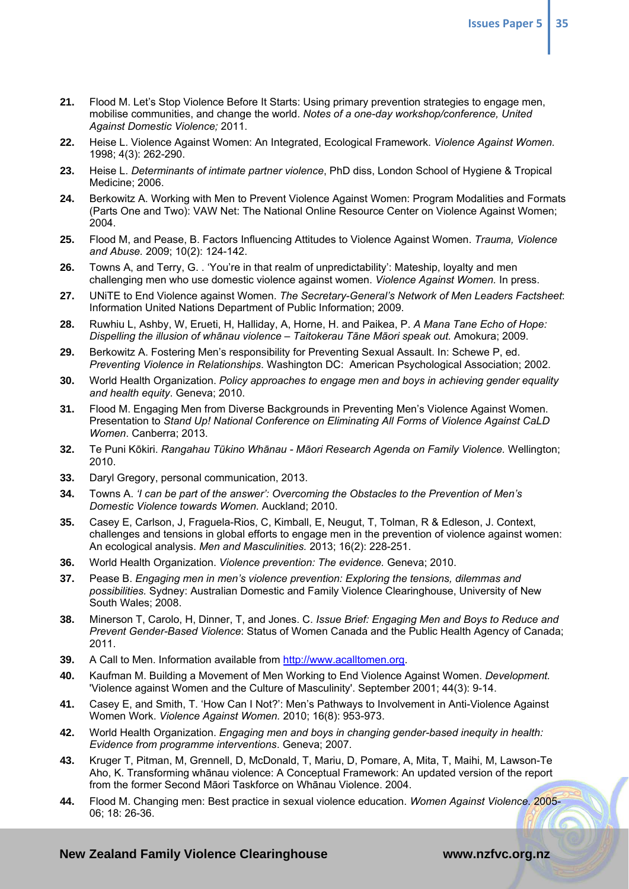- **21.** Flood M. Let's Stop Violence Before It Starts: Using primary prevention strategies to engage men, mobilise communities, and change the world. *Notes of a one-day workshop/conference, United Against Domestic Violence;* 2011.
- **22.** Heise L. Violence Against Women: An Integrated, Ecological Framework. *Violence Against Women.*  1998; 4(3): 262-290.
- **23.** Heise L. *Determinants of intimate partner violence*, PhD diss, London School of Hygiene & Tropical Medicine; 2006.
- **24.** Berkowitz A. Working with Men to Prevent Violence Against Women: Program Modalities and Formats (Parts One and Two): VAW Net: The National Online Resource Center on Violence Against Women; 2004.
- **25.** Flood M, and Pease, B. Factors Influencing Attitudes to Violence Against Women. *Trauma, Violence and Abuse.* 2009; 10(2): 124-142.
- **26.** Towns A, and Terry, G. . 'You're in that realm of unpredictability': Mateship, loyalty and men challenging men who use domestic violence against women. *Violence Against Women.* In press.
- **27.** UNiTE to End Violence against Women. *The Secretary-General's Network of Men Leaders Factsheet*: Information United Nations Department of Public Information; 2009.
- **28.** Ruwhiu L, Ashby, W, Erueti, H, Halliday, A, Horne, H. and Paikea, P. *A Mana Tane Echo of Hope: Dispelling the illusion of whānau violence – Taitokerau Tāne Māori speak out.* Amokura; 2009.
- **29.** Berkowitz A. Fostering Men's responsibility for Preventing Sexual Assault. In: Schewe P, ed. *Preventing Violence in Relationships*. Washington DC: American Psychological Association; 2002.
- **30.** World Health Organization. *Policy approaches to engage men and boys in achieving gender equality and health equity*. Geneva; 2010.
- **31.** Flood M. Engaging Men from Diverse Backgrounds in Preventing Men's Violence Against Women. Presentation to *Stand Up! National Conference on Eliminating All Forms of Violence Against CaLD Women*. Canberra; 2013.
- **32.** Te Puni Kōkiri. *Rangahau Tūkino Whānau Māori Research Agenda on Family Violence.* Wellington; 2010.
- **33.** Daryl Gregory, personal communication, 2013.
- **34.** Towns A. *'I can be part of the answer': Overcoming the Obstacles to the Prevention of Men's Domestic Violence towards Women.* Auckland; 2010.
- **35.** Casey E, Carlson, J, Fraguela-Rios, C, Kimball, E, Neugut, T, Tolman, R & Edleson, J. Context, challenges and tensions in global efforts to engage men in the prevention of violence against women: An ecological analysis. *Men and Masculinities.* 2013; 16(2): 228-251.
- **36.** World Health Organization. *Violence prevention: The evidence.* Geneva; 2010.
- **37.** Pease B. *Engaging men in men's violence prevention: Exploring the tensions, dilemmas and possibilities.* Sydney: Australian Domestic and Family Violence Clearinghouse, University of New South Wales; 2008.
- **38.** Minerson T, Carolo, H, Dinner, T, and Jones. C. *Issue Brief: Engaging Men and Boys to Reduce and Prevent Gender-Based Violence*: Status of Women Canada and the Public Health Agency of Canada; 2011.
- **39.** A Call to Men. Information available from http://www.acalltomen.org.
- **40.** Kaufman M. Building a Movement of Men Working to End Violence Against Women. *Development.*  'Violence against Women and the Culture of Masculinity'. September 2001; 44(3): 9-14.
- **41.** Casey E, and Smith, T. 'How Can I Not?': Men's Pathways to Involvement in Anti-Violence Against Women Work. *Violence Against Women.* 2010; 16(8): 953-973.
- **42.** World Health Organization. *Engaging men and boys in changing gender-based inequity in health: Evidence from programme interventions*. Geneva; 2007.
- **43.** Kruger T, Pitman, M, Grennell, D, McDonald, T, Mariu, D, Pomare, A, Mita, T, Maihi, M, Lawson-Te Aho, K. Transforming whānau violence: A Conceptual Framework: An updated version of the report from the former Second Māori Taskforce on Whānau Violence. 2004.
- **44.** Flood M. Changing men: Best practice in sexual violence education. *Women Against Violence.* 2005- 06; 18: 26-36.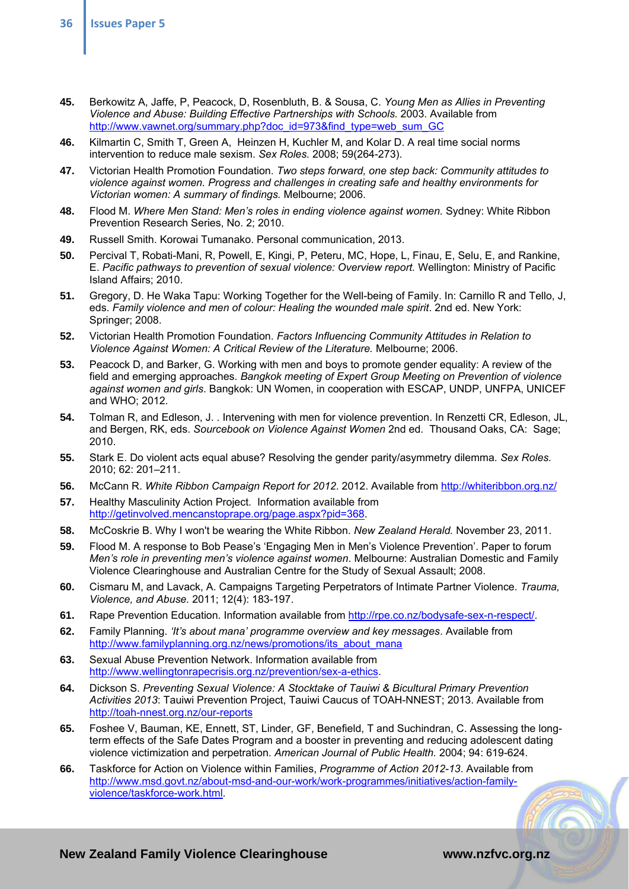- **45.** Berkowitz A, Jaffe, P, Peacock, D, Rosenbluth, B. & Sousa, C. *Young Men as Allies in Preventing Violence and Abuse: Building Effective Partnerships with Schools.* 2003. Available from http://www.vawnet.org/summary.php?doc\_id=973&find\_type=web\_sum\_GC
- **46.** Kilmartin C, Smith T, Green A, Heinzen H, Kuchler M, and Kolar D. A real time social norms intervention to reduce male sexism. *Sex Roles.* 2008; 59(264-273).
- **47.** Victorian Health Promotion Foundation. *Two steps forward, one step back: Community attitudes to violence against women. Progress and challenges in creating safe and healthy environments for Victorian women: A summary of findings.* Melbourne; 2006.
- **48.** Flood M. *Where Men Stand: Men's roles in ending violence against women.* Sydney: White Ribbon Prevention Research Series, No. 2; 2010.
- **49.** Russell Smith. Korowai Tumanako. Personal communication, 2013.
- **50.** Percival T, Robati-Mani, R, Powell, E, Kingi, P, Peteru, MC, Hope, L, Finau, E, Selu, E, and Rankine, E. *Pacific pathways to prevention of sexual violence: Overview report.* Wellington: Ministry of Pacific Island Affairs; 2010.
- **51.** Gregory, D. He Waka Tapu: Working Together for the Well-being of Family. In: Carnillo R and Tello, J, eds. *Family violence and men of colour: Healing the wounded male spirit*. 2nd ed. New York: Springer; 2008.
- **52.** Victorian Health Promotion Foundation. *Factors Influencing Community Attitudes in Relation to Violence Against Women: A Critical Review of the Literature.* Melbourne; 2006.
- **53.** Peacock D, and Barker, G. Working with men and boys to promote gender equality: A review of the field and emerging approaches. *Bangkok meeting of Expert Group Meeting on Prevention of violence against women and girls*. Bangkok: UN Women, in cooperation with ESCAP, UNDP, UNFPA, UNICEF and WHO; 2012.
- **54.** Tolman R, and Edleson, J. . Intervening with men for violence prevention. In Renzetti CR, Edleson, JL, and Bergen, RK, eds. *Sourcebook on Violence Against Women* 2nd ed. Thousand Oaks, CA: Sage; 2010.
- **55.** Stark E. Do violent acts equal abuse? Resolving the gender parity/asymmetry dilemma. *Sex Roles.*  2010; 62: 201–211.
- **56.** McCann R. *White Ribbon Campaign Report for 2012*. 2012. Available from http://whiteribbon.org.nz/
- **57.** Healthy Masculinity Action Project. Information available from http://getinvolved.mencanstoprape.org/page.aspx?pid=368.
- **58.** McCoskrie B. Why I won't be wearing the White Ribbon. *New Zealand Herald.* November 23, 2011.
- **59.** Flood M. A response to Bob Pease's 'Engaging Men in Men's Violence Prevention'. Paper to forum *Men's role in preventing men's violence against women*. Melbourne: Australian Domestic and Family Violence Clearinghouse and Australian Centre for the Study of Sexual Assault; 2008.
- **60.** Cismaru M, and Lavack, A. Campaigns Targeting Perpetrators of Intimate Partner Violence. *Trauma, Violence, and Abuse.* 2011; 12(4): 183-197.
- **61.** Rape Prevention Education. Information available from http://rpe.co.nz/bodysafe-sex-n-respect/.
- **62.** Family Planning. *'It's about mana' programme overview and key messages*. Available from http://www.familyplanning.org.nz/news/promotions/its\_about\_mana
- **63.** Sexual Abuse Prevention Network. Information available from http://www.wellingtonrapecrisis.org.nz/prevention/sex-a-ethics.
- **64.** Dickson S. *Preventing Sexual Violence: A Stocktake of Tauiwi & Bicultural Primary Prevention Activities 2013*: Tauiwi Prevention Project, Tauiwi Caucus of TOAH-NNEST; 2013. Available from http://toah-nnest.org.nz/our-reports
- **65.** Foshee V, Bauman, KE, Ennett, ST, Linder, GF, Benefield, T and Suchindran, C. Assessing the longterm effects of the Safe Dates Program and a booster in preventing and reducing adolescent dating violence victimization and perpetration. *American Journal of Public Health.* 2004; 94: 619-624.
- **66.** Taskforce for Action on Violence within Families, *Programme of Action 2012-13*. Available from http://www.msd.govt.nz/about-msd-and-our-work/work-programmes/initiatives/action-familyviolence/taskforce-work.html.